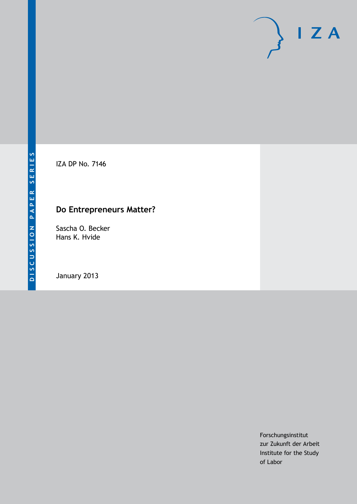

IZA DP No. 7146

# **Do Entrepreneurs Matter?**

Sascha O. Becker Hans K. Hvide

January 2013

Forschungsinstitut zur Zukunft der Arbeit Institute for the Study of Labor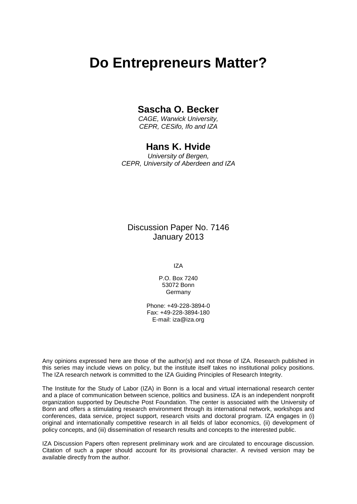# **Do Entrepreneurs Matter?**

### **Sascha O. Becker**

*CAGE, Warwick University, CEPR, CESifo, Ifo and IZA*

### **Hans K. Hvide**

*University of Bergen, CEPR, University of Aberdeen and IZA*

Discussion Paper No. 7146 January 2013

IZA

P.O. Box 7240 53072 Bonn Germany

Phone: +49-228-3894-0 Fax: +49-228-3894-180 E-mail: [iza@iza.org](mailto:iza@iza.org)

Any opinions expressed here are those of the author(s) and not those of IZA. Research published in this series may include views on policy, but the institute itself takes no institutional policy positions. The IZA research network is committed to the IZA Guiding Principles of Research Integrity.

The Institute for the Study of Labor (IZA) in Bonn is a local and virtual international research center and a place of communication between science, politics and business. IZA is an independent nonprofit organization supported by Deutsche Post Foundation. The center is associated with the University of Bonn and offers a stimulating research environment through its international network, workshops and conferences, data service, project support, research visits and doctoral program. IZA engages in (i) original and internationally competitive research in all fields of labor economics, (ii) development of policy concepts, and (iii) dissemination of research results and concepts to the interested public.

<span id="page-1-0"></span>IZA Discussion Papers often represent preliminary work and are circulated to encourage discussion. Citation of such a paper should account for its provisional character. A revised version may be available directly from the author.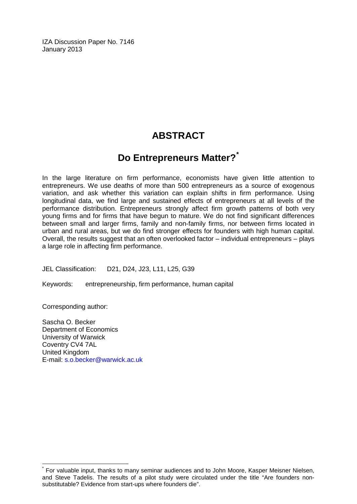IZA Discussion Paper No. 7146 January 2013

# **ABSTRACT**

## **Do Entrepreneurs Matter?[\\*](#page-1-0)**

In the large literature on firm performance, economists have given little attention to entrepreneurs. We use deaths of more than 500 entrepreneurs as a source of exogenous variation, and ask whether this variation can explain shifts in firm performance. Using longitudinal data, we find large and sustained effects of entrepreneurs at all levels of the performance distribution. Entrepreneurs strongly affect firm growth patterns of both very young firms and for firms that have begun to mature. We do not find significant differences between small and larger firms, family and non-family firms, nor between firms located in urban and rural areas, but we do find stronger effects for founders with high human capital. Overall, the results suggest that an often overlooked factor – individual entrepreneurs – plays a large role in affecting firm performance.

JEL Classification: D21, D24, J23, L11, L25, G39

Keywords: entrepreneurship, firm performance, human capital

Corresponding author:

Sascha O. Becker Department of Economics University of Warwick Coventry CV4 7AL United Kingdom E-mail: [s.o.becker@warwick.ac.uk](mailto:s.o.becker@warwick.ac.uk)

For valuable input, thanks to many seminar audiences and to John Moore, Kasper Meisner Nielsen, and Steve Tadelis. The results of a pilot study were circulated under the title "Are founders nonsubstitutable? Evidence from start-ups where founders die".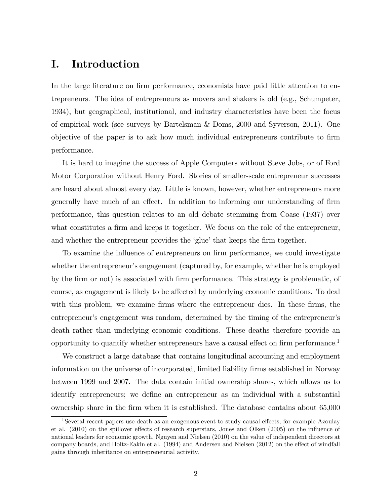### I. Introduction

In the large literature on firm performance, economists have paid little attention to entrepreneurs. The idea of entrepreneurs as movers and shakers is old (e.g., Schumpeter, 1934), but geographical, institutional, and industry characteristics have been the focus of empirical work (see surveys by Bartelsman & Doms, 2000 and Syverson, 2011). One objective of the paper is to ask how much individual entrepreneurs contribute to Örm performance.

It is hard to imagine the success of Apple Computers without Steve Jobs, or of Ford Motor Corporation without Henry Ford. Stories of smaller-scale entrepreneur successes are heard about almost every day. Little is known, however, whether entrepreneurs more generally have much of an effect. In addition to informing our understanding of firm performance, this question relates to an old debate stemming from Coase (1937) over what constitutes a firm and keeps it together. We focus on the role of the entrepreneur, and whether the entrepreneur provides the 'glue' that keeps the firm together.

To examine the influence of entrepreneurs on firm performance, we could investigate whether the entrepreneur's engagement (captured by, for example, whether he is employed by the firm or not) is associated with firm performance. This strategy is problematic, of course, as engagement is likely to be affected by underlying economic conditions. To deal with this problem, we examine firms where the entrepreneur dies. In these firms, the entrepreneur's engagement was random, determined by the timing of the entrepreneur's death rather than underlying economic conditions. These deaths therefore provide an opportunity to quantify whether entrepreneurs have a causal effect on firm performance.<sup>1</sup>

We construct a large database that contains longitudinal accounting and employment information on the universe of incorporated, limited liability Örms established in Norway between 1999 and 2007. The data contain initial ownership shares, which allows us to identify entrepreneurs; we define an entrepreneur as an individual with a substantial ownership share in the Örm when it is established. The database contains about 65,000

<sup>&</sup>lt;sup>1</sup>Several recent papers use death as an exogenous event to study causal effects, for example Azoulay et al. (2010) on the spillover effects of research superstars, Jones and Olken (2005) on the influence of national leaders for economic growth, Nguyen and Nielsen (2010) on the value of independent directors at company boards, and Holtz-Eakin et al. (1994) and Andersen and Nielsen (2012) on the effect of windfall gains through inheritance on entrepreneurial activity.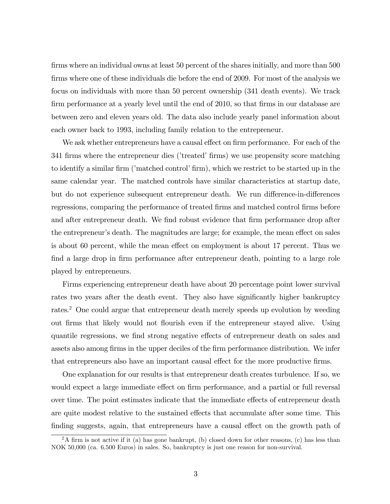firms where an individual owns at least 50 percent of the shares initially, and more than 500 firms where one of these individuals die before the end of 2009. For most of the analysis we focus on individuals with more than 50 percent ownership (341 death events). We track firm performance at a yearly level until the end of 2010, so that firms in our database are between zero and eleven years old. The data also include yearly panel information about each owner back to 1993, including family relation to the entrepreneur.

We ask whether entrepreneurs have a causal effect on firm performance. For each of the 341 firms where the entrepreneur dies ('treated' firms) we use propensity score matching to identify a similar firm ('matched control' firm), which we restrict to be started up in the same calendar year. The matched controls have similar characteristics at startup date, but do not experience subsequent entrepreneur death. We run difference-in-differences regressions, comparing the performance of treated firms and matched control firms before and after entrepreneur death. We find robust evidence that firm performance drop after the entrepreneur's death. The magnitudes are large; for example, the mean effect on sales is about 60 percent, while the mean effect on employment is about 17 percent. Thus we find a large drop in firm performance after entrepreneur death, pointing to a large role played by entrepreneurs.

Firms experiencing entrepreneur death have about 20 percentage point lower survival rates two years after the death event. They also have significantly higher bankruptcy rates.<sup>2</sup> One could argue that entrepreneur death merely speeds up evolution by weeding out firms that likely would not flourish even if the entrepreneur stayed alive. Using quantile regressions, we find strong negative effects of entrepreneur death on sales and assets also among firms in the upper deciles of the firm performance distribution. We infer that entrepreneurs also have an important causal effect for the more productive firms.

One explanation for our results is that entrepreneur death creates turbulence. If so, we would expect a large immediate effect on firm performance, and a partial or full reversal over time. The point estimates indicate that the immediate effects of entrepreneur death are quite modest relative to the sustained effects that accumulate after some time. This finding suggests, again, that entrepreneurs have a causal effect on the growth path of

 $2A$  firm is not active if it (a) has gone bankrupt, (b) closed down for other reasons, (c) has less than NOK 50,000 (ca. 6,500 Euros) in sales. So, bankruptcy is just one reason for non-survival.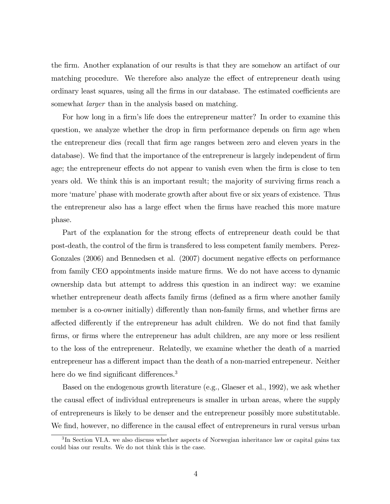the Örm. Another explanation of our results is that they are somehow an artifact of our matching procedure. We therefore also analyze the effect of entrepreneur death using ordinary least squares, using all the firms in our database. The estimated coefficients are somewhat *larger* than in the analysis based on matching.

For how long in a firm's life does the entrepreneur matter? In order to examine this question, we analyze whether the drop in firm performance depends on firm age when the entrepreneur dies (recall that Örm age ranges between zero and eleven years in the database). We find that the importance of the entrepreneur is largely independent of firm age; the entrepreneur effects do not appear to vanish even when the firm is close to ten years old. We think this is an important result; the majority of surviving firms reach a more 'mature' phase with moderate growth after about five or six years of existence. Thus the entrepreneur also has a large effect when the firms have reached this more mature phase.

Part of the explanation for the strong effects of entrepreneur death could be that post-death, the control of the Örm is transfered to less competent family members. Perez-Gonzales (2006) and Bennedsen et al. (2007) document negative effects on performance from family CEO appointments inside mature firms. We do not have access to dynamic ownership data but attempt to address this question in an indirect way: we examine whether entrepreneur death affects family firms (defined as a firm where another family member is a co-owner initially) differently than non-family firms, and whether firms are affected differently if the entrepreneur has adult children. We do not find that family firms, or firms where the entrepreneur has adult children, are any more or less resilient to the loss of the entrepreneur. Relatedly, we examine whether the death of a married entrepreneur has a different impact than the death of a non-married entrepeneur. Neither here do we find significant differences.<sup>3</sup>

Based on the endogenous growth literature (e.g., Glaeser et al., 1992), we ask whether the causal effect of individual entrepreneurs is smaller in urban areas, where the supply of entrepreneurs is likely to be denser and the entrepreneur possibly more substitutable. We find, however, no difference in the causal effect of entrepreneurs in rural versus urban

<sup>&</sup>lt;sup>3</sup>In Section VI.A. we also discuss whether aspects of Norwegian inheritance law or capital gains tax could bias our results. We do not think this is the case.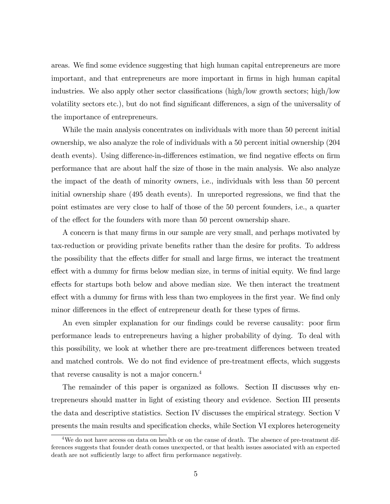areas. We find some evidence suggesting that high human capital entrepreneurs are more important, and that entrepreneurs are more important in Örms in high human capital industries. We also apply other sector classifications (high/low growth sectors; high/low volatility sectors etc.), but do not find significant differences, a sign of the universality of the importance of entrepreneurs.

While the main analysis concentrates on individuals with more than 50 percent initial ownership, we also analyze the role of individuals with a 50 percent initial ownership (204 death events). Using difference-in-differences estimation, we find negative effects on firm performance that are about half the size of those in the main analysis. We also analyze the impact of the death of minority owners, i.e., individuals with less than 50 percent initial ownership share (495 death events). In unreported regressions, we find that the point estimates are very close to half of those of the 50 percent founders, i.e., a quarter of the effect for the founders with more than 50 percent ownership share.

A concern is that many firms in our sample are very small, and perhaps motivated by tax-reduction or providing private benefits rather than the desire for profits. To address the possibility that the effects differ for small and large firms, we interact the treatment effect with a dummy for firms below median size, in terms of initial equity. We find large effects for startups both below and above median size. We then interact the treatment effect with a dummy for firms with less than two employees in the first year. We find only minor differences in the effect of entrepreneur death for these types of firms.

An even simpler explanation for our findings could be reverse causality: poor firm performance leads to entrepreneurs having a higher probability of dying. To deal with this possibility, we look at whether there are pre-treatment differences between treated and matched controls. We do not find evidence of pre-treatment effects, which suggests that reverse causality is not a major concern.<sup>4</sup>

The remainder of this paper is organized as follows. Section II discusses why entrepreneurs should matter in light of existing theory and evidence. Section III presents the data and descriptive statistics. Section IV discusses the empirical strategy. Section V presents the main results and specification checks, while Section VI explores heterogeneity

<sup>&</sup>lt;sup>4</sup>We do not have access on data on health or on the cause of death. The absence of pre-treatment differences suggests that founder death comes unexpected, or that health issues associated with an expected death are not sufficiently large to affect firm performance negatively.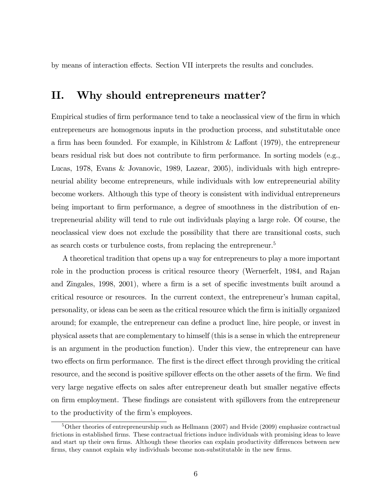by means of interaction effects. Section VII interprets the results and concludes.

### II. Why should entrepreneurs matter?

Empirical studies of firm performance tend to take a neoclassical view of the firm in which entrepreneurs are homogenous inputs in the production process, and substitutable once a firm has been founded. For example, in Kihlstrom  $\&$  Laffont (1979), the entrepreneur bears residual risk but does not contribute to firm performance. In sorting models (e.g., Lucas, 1978, Evans & Jovanovic, 1989, Lazear, 2005), individuals with high entrepreneurial ability become entrepreneurs, while individuals with low entrepreneurial ability become workers. Although this type of theory is consistent with individual entrepreneurs being important to firm performance, a degree of smoothness in the distribution of entrepreneurial ability will tend to rule out individuals playing a large role. Of course, the neoclassical view does not exclude the possibility that there are transitional costs, such as search costs or turbulence costs, from replacing the entrepreneur.<sup>5</sup>

A theoretical tradition that opens up a way for entrepreneurs to play a more important role in the production process is critical resource theory (Wernerfelt, 1984, and Rajan and Zingales, 1998, 2001), where a firm is a set of specific investments built around a critical resource or resources. In the current context, the entrepreneurís human capital, personality, or ideas can be seen as the critical resource which the Örm is initially organized around; for example, the entrepreneur can define a product line, hire people, or invest in physical assets that are complementary to himself (this is a sense in which the entrepreneur is an argument in the production function). Under this view, the entrepreneur can have two effects on firm performance. The first is the direct effect through providing the critical resource, and the second is positive spillover effects on the other assets of the firm. We find very large negative effects on sales after entrepreneur death but smaller negative effects on firm employment. These findings are consistent with spillovers from the entrepreneur to the productivity of the firm's employees.

<sup>&</sup>lt;sup>5</sup>Other theories of entrepreneurship such as Hellmann (2007) and Hvide (2009) emphasize contractual frictions in established firms. These contractual frictions induce individuals with promising ideas to leave and start up their own firms. Although these theories can explain productivity differences between new firms, they cannot explain why individuals become non-substitutable in the new firms.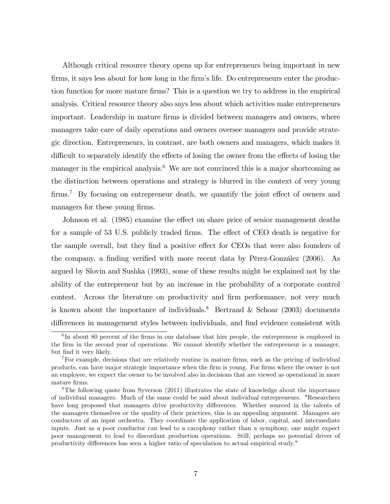Although critical resource theory opens up for entrepreneurs being important in new firms, it says less about for how long in the firm's life. Do entrepreneurs enter the production function for more mature firms? This is a question we try to address in the empirical analysis. Critical resource theory also says less about which activities make entrepreneurs important. Leadership in mature firms is divided between managers and owners, where managers take care of daily operations and owners oversee managers and provide strategic direction. Entrepreneurs, in contrast, are both owners and managers, which makes it difficult to separately identify the effects of losing the owner from the effects of losing the manager in the empirical analysis.<sup>6</sup> We are not convinced this is a major shortcoming as the distinction between operations and strategy is blurred in the context of very young  $\text{ firms.}^7$  By focusing on entrepreneur death, we quantify the joint effect of owners and managers for these young firms.

Johnson et al. (1985) examine the effect on share price of senior management deaths for a sample of 53 U.S. publicly traded firms. The effect of CEO death is negative for the sample overall, but they find a positive effect for CEOs that were also founders of the company, a finding verified with more recent data by Pérez-González  $(2006)$ . As argued by Slovin and Sushka (1993), some of these results might be explained not by the ability of the entrepreneur but by an increase in the probability of a corporate control contest. Across the literature on productivity and firm performance, not very much is known about the importance of individuals.<sup>8</sup> Bertrand & Schoar (2003) documents differences in management styles between individuals, and find evidence consistent with

<sup>&</sup>lt;sup>6</sup>In about 80 percent of the firms in our database that hire people, the entrepreneur is employed in the Örm in the second year of operations. We cannot identify whether the entrepreneur is a manager, but Önd it very likely.

<sup>&</sup>lt;sup>7</sup>For example, decisions that are relatively routine in mature firms, such as the pricing of individual products, can have major strategic importance when the Örm is young. For Örms where the owner is not an employee, we expect the owner to be involved also in decisions that are viewed as operational in more mature firms.

<sup>8</sup>The following quote from Syverson (2011) illustrates the state of knowledge about the importance of individual managers. Much of the same could be said about individual entrepreneurs. "Researchers have long proposed that managers drive productivity differences. Whether sourced in the talents of the managers themselves or the quality of their practices, this is an appealing argument. Managers are conductors of an input orchestra. They coordinate the application of labor, capital, and intermediate inputs. Just as a poor conductor can lead to a cacophony rather than a symphony, one might expect poor management to lead to discordant production operations. Still, perhaps no potential driver of productivity differences has seen a higher ratio of speculation to actual empirical study."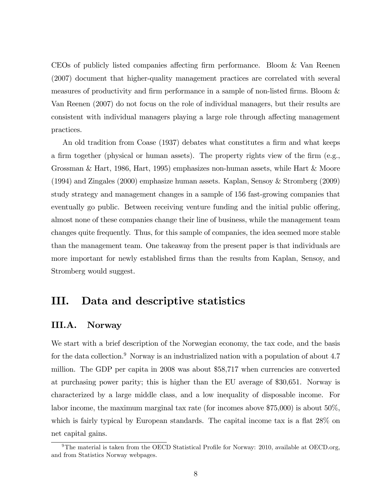CEOs of publicly listed companies affecting firm performance. Bloom & Van Reenen (2007) document that higher-quality management practices are correlated with several measures of productivity and firm performance in a sample of non-listed firms. Bloom  $\&$ Van Reenen (2007) do not focus on the role of individual managers, but their results are consistent with individual managers playing a large role through affecting management practices.

An old tradition from Coase (1937) debates what constitutes a firm and what keeps a firm together (physical or human assets). The property rights view of the firm  $(e.g.,)$ Grossman & Hart, 1986, Hart, 1995) emphasizes non-human assets, while Hart & Moore (1994) and Zingales (2000) emphasize human assets. Kaplan, Sensoy & Stromberg (2009) study strategy and management changes in a sample of 156 fast-growing companies that eventually go public. Between receiving venture funding and the initial public offering, almost none of these companies change their line of business, while the management team changes quite frequently. Thus, for this sample of companies, the idea seemed more stable than the management team. One takeaway from the present paper is that individuals are more important for newly established firms than the results from Kaplan, Sensoy, and Stromberg would suggest.

### III. Data and descriptive statistics

#### III.A. Norway

We start with a brief description of the Norwegian economy, the tax code, and the basis for the data collection.<sup>9</sup> Norway is an industrialized nation with a population of about  $4.7$ million. The GDP per capita in 2008 was about \$58,717 when currencies are converted at purchasing power parity; this is higher than the EU average of \$30,651. Norway is characterized by a large middle class, and a low inequality of disposable income. For labor income, the maximum marginal tax rate (for incomes above \$75,000) is about 50%, which is fairly typical by European standards. The capital income tax is a flat  $28\%$  on net capital gains.

<sup>&</sup>lt;sup>9</sup>The material is taken from the OECD Statistical Profile for Norway: 2010, available at OECD.org, and from Statistics Norway webpages.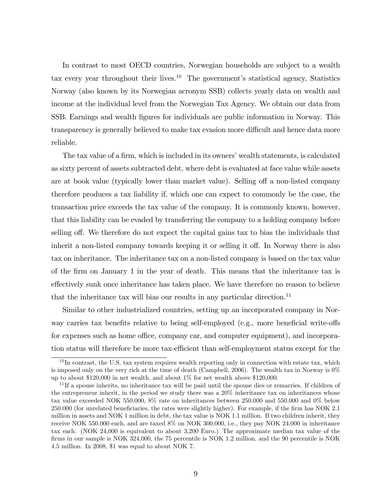In contrast to most OECD countries, Norwegian households are subject to a wealth tax every year throughout their lives.<sup>10</sup> The government's statistical agency, Statistics Norway (also known by its Norwegian acronym SSB) collects yearly data on wealth and income at the individual level from the Norwegian Tax Agency. We obtain our data from SSB. Earnings and wealth Ögures for individuals are public information in Norway. This transparency is generally believed to make tax evasion more difficult and hence data more reliable.

The tax value of a firm, which is included in its owners' wealth statements, is calculated as sixty percent of assets subtracted debt, where debt is evaluated at face value while assets are at book value (typically lower than market value). Selling off a non-listed company therefore produces a tax liability if, which one can expect to commonly be the case, the transaction price exceeds the tax value of the company. It is commonly known, however, that this liability can be evaded by transferring the company to a holding company before selling off. We therefore do not expect the capital gains tax to bias the individuals that inherit a non-listed company towards keeping it or selling it off. In Norway there is also tax on inheritance. The inheritance tax on a non-listed company is based on the tax value of the Örm on January 1 in the year of death. This means that the inheritance tax is effectively sunk once inheritance has taken place. We have therefore no reason to believe that the inheritance tax will bias our results in any particular direction.<sup>11</sup>

Similar to other industrialized countries, setting up an incorporated company in Norway carries tax benefits relative to being self-employed (e.g., more beneficial write-offs for expenses such as home office, company car, and computer equipment), and incorporation status will therefore be more tax-efficient than self-employment status except for the

 $10$  In contrast, the U.S. tax system requires wealth reporting only in connection with estate tax, which is imposed only on the very rich at the time of death (Campbell, 2006). The wealth tax in Norway is 0% up to about \$120,000 in net wealth, and about 1% for net wealth above \$120,000.

 $11$  If a spouse inherits, no inheritance tax will be paid until the spouse dies or remarries. If children of the entrepreneur inherit, in the period we study there was a 20% inheritance tax on inheritances whose tax value exceeded NOK 550.000, 8% rate on inheritances between 250.000 and 550.000 and 0% below 250.000 (for unrelated beneficiaries, the rates were slightly higher). For example, if the firm has NOK 2.1 million in assets and NOK 1 million in debt, the tax value is NOK 1.1 million. If two children inherit, they receive NOK 550.000 each, and are taxed 8% on NOK 300.000, i.e., they pay NOK 24.000 in inheritance tax each. (NOK 24,000 is equivalent to about 3,200 Euro.) The approximate median tax value of the firms in our sample is NOK 324.000, the 75 percentile is NOK 1.2 million, and the 90 percentile is NOK 4.5 million. In 2008, \$1 was equal to about NOK 7.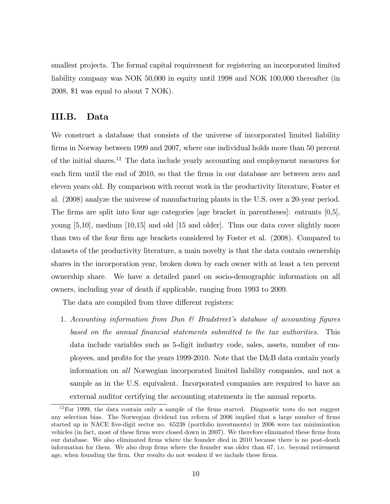smallest projects. The formal capital requirement for registering an incorporated limited liability company was NOK 50,000 in equity until 1998 and NOK 100,000 thereafter (in 2008, \$1 was equal to about 7 NOK).

### III.B. Data

We construct a database that consists of the universe of incorporated limited liability firms in Norway between 1999 and 2007, where one individual holds more than 50 percent of the initial shares.<sup>12</sup> The data include yearly accounting and employment measures for each firm until the end of 2010, so that the firms in our database are between zero and eleven years old. By comparison with recent work in the productivity literature, Foster et al. (2008) analyze the universe of manufacturing plants in the U.S. over a 20-year period. The firms are split into four age categories [age bracket in parentheses]: entrants  $[0,5]$ , young [5,10], medium [10,15] and old [15 and older]. Thus our data cover slightly more than two of the four firm age brackets considered by Foster et al. (2008). Compared to datasets of the productivity literature, a main novelty is that the data contain ownership shares in the incorporation year, broken down by each owner with at least a ten percent ownership share. We have a detailed panel on socio-demographic information on all owners, including year of death if applicable, ranging from 1993 to 2009.

The data are compiled from three different registers:

1. Accounting information from Dun  $\mathcal{C}$  Bradstreet's database of accounting figures based on the annual Önancial statements submitted to the tax authorities. This data include variables such as 5-digit industry code, sales, assets, number of employees, and profits for the years 1999-2010. Note that the D&B data contain yearly information on all Norwegian incorporated limited liability companies, and not a sample as in the U.S. equivalent. Incorporated companies are required to have an external auditor certifying the accounting statements in the annual reports.

 $12$  For 1999, the data contain only a sample of the firms started. Diagnostic tests do not suggest any selection bias. The Norwegian dividend tax reform of 2006 implied that a large number of firms started up in NACE five-digit sector no. 65238 (portfolio investments) in 2006 were tax minimization vehicles (in fact, most of these firms were closed down in 2007). We therefore eliminated these firms from our database. We also eliminated firms where the founder died in 2010 because there is no post-death information for them. We also drop firms where the founder was older than 67, i.e. beyond retirement age, when founding the firm. Our results do not weaken if we include these firms.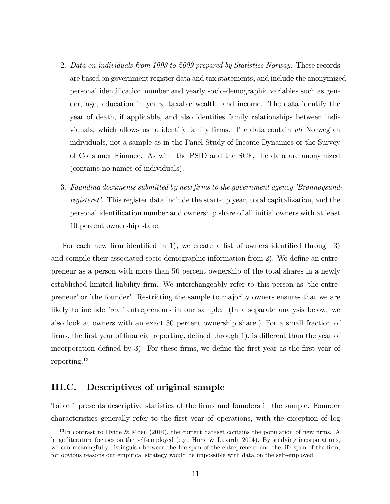- 2. Data on individuals from 1993 to 2009 prepared by Statistics Norway. These records are based on government register data and tax statements, and include the anonymized personal identification number and yearly socio-demographic variables such as gender, age, education in years, taxable wealth, and income. The data identify the year of death, if applicable, and also identifies family relationships between individuals, which allows us to identify family firms. The data contain all Norwegian individuals, not a sample as in the Panel Study of Income Dynamics or the Survey of Consumer Finance. As with the PSID and the SCF, the data are anonymized (contains no names of individuals).
- 3. Founding documents submitted by new firms to the government agency *'Brønnøysund*registeret'. This register data include the start-up year, total capitalization, and the personal identiÖcation number and ownership share of all initial owners with at least 10 percent ownership stake.

For each new firm identified in 1), we create a list of owners identified through 3) and compile their associated socio-demographic information from 2). We define an entrepreneur as a person with more than 50 percent ownership of the total shares in a newly established limited liability firm. We interchangeably refer to this person as 'the entrepreneur' or 'the founder'. Restricting the sample to majority owners ensures that we are likely to include *real* entrepreneurs in our sample. (In a separate analysis below, we also look at owners with an exact 50 percent ownership share.) For a small fraction of firms, the first year of financial reporting, defined through 1), is different than the year of incorporation defined by 3). For these firms, we define the first year as the first year of reporting.<sup>13</sup>

#### III.C. Descriptives of original sample

Table 1 presents descriptive statistics of the firms and founders in the sample. Founder characteristics generally refer to the first year of operations, with the exception of log

<sup>&</sup>lt;sup>13</sup>In contrast to Hvide & Moen (2010), the current dataset contains the population of new firms. A large literature focuses on the self-employed (e.g., Hurst & Lusardi, 2004). By studying incorporations, we can meaningfully distinguish between the life-span of the entrepreneur and the life-span of the firm; for obvious reasons our empirical strategy would be impossible with data on the self-employed.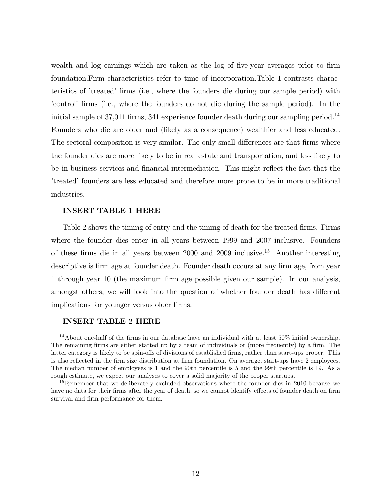wealth and log earnings which are taken as the log of five-year averages prior to firm foundation.Firm characteristics refer to time of incorporation.Table 1 contrasts characteristics of 'treated' firms (i.e., where the founders die during our sample period) with ícontrolí Örms (i.e., where the founders do not die during the sample period). In the initial sample of  $37,011$  firms,  $341$  experience founder death during our sampling period.<sup>14</sup> Founders who die are older and (likely as a consequence) wealthier and less educated. The sectoral composition is very similar. The only small differences are that firms where the founder dies are more likely to be in real estate and transportation, and less likely to be in business services and financial intermediation. This might reflect the fact that the ítreatedí founders are less educated and therefore more prone to be in more traditional industries.

#### INSERT TABLE 1 HERE

Table 2 shows the timing of entry and the timing of death for the treated firms. Firms where the founder dies enter in all years between 1999 and 2007 inclusive. Founders of these firms die in all years between  $2000$  and  $2009$  inclusive.<sup>15</sup> Another interesting descriptive is firm age at founder death. Founder death occurs at any firm age, from year 1 through year 10 (the maximum firm age possible given our sample). In our analysis, amongst others, we will look into the question of whether founder death has different implications for younger versus older firms.

#### INSERT TABLE 2 HERE

<sup>&</sup>lt;sup>14</sup>About one-half of the firms in our database have an individual with at least  $50\%$  initial ownership. The remaining firms are either started up by a team of individuals or (more frequently) by a firm. The latter category is likely to be spin-offs of divisions of established firms, rather than start-ups proper. This is also reflected in the firm size distribution at firm foundation. On average, start-ups have 2 employees. The median number of employees is 1 and the 90th percentile is 5 and the 99th percentile is 19. As a rough estimate, we expect our analyses to cover a solid majority of the proper startups.

<sup>&</sup>lt;sup>15</sup>Remember that we deliberately excluded observations where the founder dies in 2010 because we have no data for their firms after the year of death, so we cannot identify effects of founder death on firm survival and firm performance for them.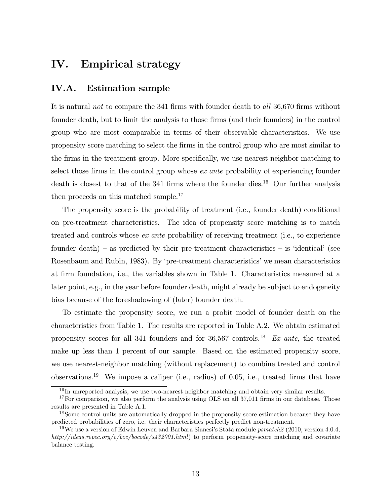### IV. Empirical strategy

### IV.A. Estimation sample

It is natural *not* to compare the 341 firms with founder death to all 36,670 firms without founder death, but to limit the analysis to those firms (and their founders) in the control group who are most comparable in terms of their observable characteristics. We use propensity score matching to select the Örms in the control group who are most similar to the firms in the treatment group. More specifically, we use nearest neighbor matching to select those firms in the control group whose  $ex$  ante probability of experiencing founder death is closest to that of the 341 firms where the founder dies.<sup>16</sup> Our further analysis then proceeds on this matched sample.<sup>17</sup>

The propensity score is the probability of treatment (i.e., founder death) conditional on pre-treatment characteristics. The idea of propensity score matching is to match treated and controls whose ex ante probability of receiving treatment (i.e., to experience founder death) – as predicted by their pre-treatment characteristics – is 'identical' (see Rosenbaum and Rubin, 1983). By 'pre-treatment characteristics' we mean characteristics at Örm foundation, i.e., the variables shown in Table 1. Characteristics measured at a later point, e.g., in the year before founder death, might already be subject to endogeneity bias because of the foreshadowing of (later) founder death.

To estimate the propensity score, we run a probit model of founder death on the characteristics from Table 1. The results are reported in Table A.2. We obtain estimated propensity scores for all 341 founders and for  $36,567$  controls.<sup>18</sup> Ex ante, the treated make up less than 1 percent of our sample. Based on the estimated propensity score, we use nearest-neighbor matching (without replacement) to combine treated and control observations.<sup>19</sup> We impose a caliper (i.e., radius) of 0.05, i.e., treated firms that have

 $\frac{16}{16}$  In unreported analysis, we use two-nearest neighbor matching and obtain very similar results.

 $17$  For comparison, we also perform the analysis using OLS on all 37,011 firms in our database. Those results are presented in Table A.1.

<sup>&</sup>lt;sup>18</sup>Some control units are automatically dropped in the propensity score estimation because they have predicted probabilities of zero, i.e. their characteristics perfectly predict non-treatment.

<sup>&</sup>lt;sup>19</sup>We use a version of Edwin Leuven and Barbara Sianesi's Stata module  $psmatch2$  (2010, version 4.0.4, http://ideas.repec.org/c/boc/bocode/s432001.html) to perform propensity-score matching and covariate balance testing.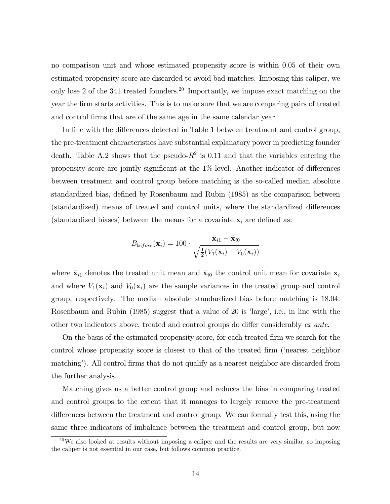no comparison unit and whose estimated propensity score is within 0.05 of their own estimated propensity score are discarded to avoid bad matches. Imposing this caliper, we only lose 2 of the 341 treated founders.<sup>20</sup> Importantly, we impose exact matching on the year the Örm starts activities. This is to make sure that we are comparing pairs of treated and control firms that are of the same age in the same calendar year.

In line with the differences detected in Table 1 between treatment and control group, the pre-treatment characteristics have substantial explanatory power in predicting founder death. Table A.2 shows that the pseudo- $R^2$  is 0.11 and that the variables entering the propensity score are jointly significant at the  $1\%$ -level. Another indicator of differences between treatment and control group before matching is the so-called median absolute standardized bias, defined by Rosenbaum and Rubin (1985) as the comparison between (standardized) means of treated and control units, where the standardized differences (standardized biases) between the means for a covariate  $x_i$  are defined as:

$$
B_{before}(\mathbf{x}_i) = 100 \cdot \frac{\bar{\mathbf{x}}_{i1} - \bar{\mathbf{x}}_{i0}}{\sqrt{\frac{1}{2}(V_1(\mathbf{x}_i) + V_0(\mathbf{x}_i))}}
$$

where  $\bar{\mathbf{x}}_{i1}$  denotes the treated unit mean and  $\bar{\mathbf{x}}_{i0}$  the control unit mean for covariate  $\mathbf{x}_i$ and where  $V_1(\mathbf{x}_i)$  and  $V_0(\mathbf{x}_i)$  are the sample variances in the treated group and control group, respectively. The median absolute standardized bias before matching is 18.04. Rosenbaum and Rubin  $(1985)$  suggest that a value of 20 is 'large', i.e., in line with the other two indicators above, treated and control groups do differ considerably  $ex$  ante.

On the basis of the estimated propensity score, for each treated Örm we search for the control whose propensity score is closest to that of the treated firm ('nearest neighbor matching<sup>'</sup>). All control firms that do not qualify as a nearest neighbor are discarded from the further analysis.

Matching gives us a better control group and reduces the bias in comparing treated and control groups to the extent that it manages to largely remove the pre-treatment differences between the treatment and control group. We can formally test this, using the same three indicators of imbalance between the treatment and control group, but now

 $^{20}$ We also looked at results without imposing a caliper and the results are very similar, so imposing the caliper is not essential in our case, but follows common practice.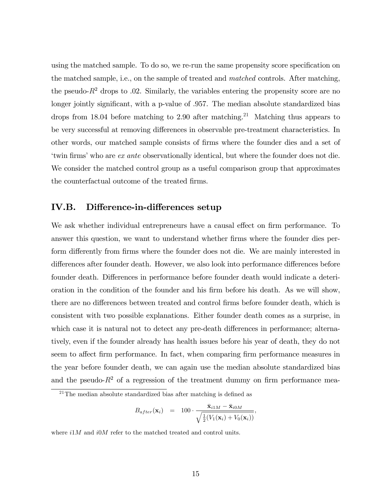using the matched sample. To do so, we re-run the same propensity score specification on the matched sample, i.e., on the sample of treated and matched controls. After matching, the pseudo- $R<sup>2</sup>$  drops to .02. Similarly, the variables entering the propensity score are no longer jointly significant, with a p-value of .957. The median absolute standardized bias drops from 18.04 before matching to 2.90 after matching.<sup>21</sup> Matching thus appears to be very successful at removing differences in observable pre-treatment characteristics. In other words, our matched sample consists of firms where the founder dies and a set of twin firms' who are ex ante observationally identical, but where the founder does not die. We consider the matched control group as a useful comparison group that approximates the counterfactual outcome of the treated firms.

### IV.B. Difference-in-differences setup

We ask whether individual entrepreneurs have a causal effect on firm performance. To answer this question, we want to understand whether firms where the founder dies perform differently from firms where the founder does not die. We are mainly interested in differences after founder death. However, we also look into performance differences before founder death. Differences in performance before founder death would indicate a deterioration in the condition of the founder and his firm before his death. As we will show, there are no differences between treated and control firms before founder death, which is consistent with two possible explanations. Either founder death comes as a surprise, in which case it is natural not to detect any pre-death differences in performance; alternatively, even if the founder already has health issues before his year of death, they do not seem to affect firm performance. In fact, when comparing firm performance measures in the year before founder death, we can again use the median absolute standardized bias and the pseudo- $R^2$  of a regression of the treatment dummy on firm performance mea-

$$
B_{after}(\mathbf{x}_i) = 100 \cdot \frac{\bar{\mathbf{x}}_{i1M} - \bar{\mathbf{x}}_{i0M}}{\sqrt{\frac{1}{2}(V_1(\mathbf{x}_i) + V_0(\mathbf{x}_i))}},
$$

where  $i1M$  and  $i0M$  refer to the matched treated and control units.

 $^{21}$ The median absolute standardized bias after matching is defined as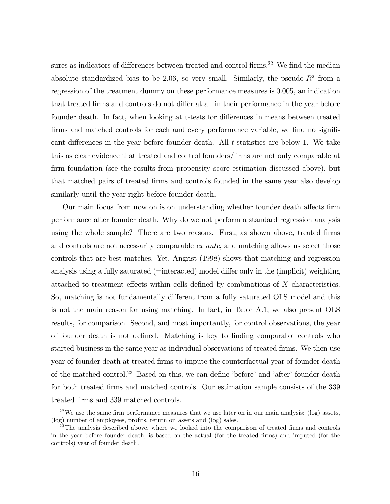sures as indicators of differences between treated and control firms.<sup>22</sup> We find the median absolute standardized bias to be 2.06, so very small. Similarly, the pseudo- $R^2$  from a regression of the treatment dummy on these performance measures is 0.005, an indication that treated firms and controls do not differ at all in their performance in the year before founder death. In fact, when looking at t-tests for differences in means between treated firms and matched controls for each and every performance variable, we find no significant differences in the year before founder death. All  $t$ -statistics are below 1. We take this as clear evidence that treated and control founders/Örms are not only comparable at firm foundation (see the results from propensity score estimation discussed above), but that matched pairs of treated Örms and controls founded in the same year also develop similarly until the year right before founder death.

Our main focus from now on is on understanding whether founder death affects firm performance after founder death. Why do we not perform a standard regression analysis using the whole sample? There are two reasons. First, as shown above, treated firms and controls are not necessarily comparable *ex ante*, and matching allows us select those controls that are best matches. Yet, Angrist (1998) shows that matching and regression analysis using a fully saturated (=interacted) model differ only in the (implicit) weighting attached to treatment effects within cells defined by combinations of  $X$  characteristics. So, matching is not fundamentally different from a fully saturated OLS model and this is not the main reason for using matching. In fact, in Table A.1, we also present OLS results, for comparison. Second, and most importantly, for control observations, the year of founder death is not defined. Matching is key to finding comparable controls who started business in the same year as individual observations of treated firms. We then use year of founder death at treated Örms to impute the counterfactual year of founder death of the matched control.<sup>23</sup> Based on this, we can define 'before' and 'after' founder death for both treated Örms and matched controls. Our estimation sample consists of the 339 treated Örms and 339 matched controls.

 $^{22}$ We use the same firm performance measures that we use later on in our main analysis: (log) assets, (log) number of employees, profits, return on assets and (log) sales.

 $23$ The analysis described above, where we looked into the comparison of treated firms and controls in the year before founder death, is based on the actual (for the treated firms) and imputed (for the controls) year of founder death.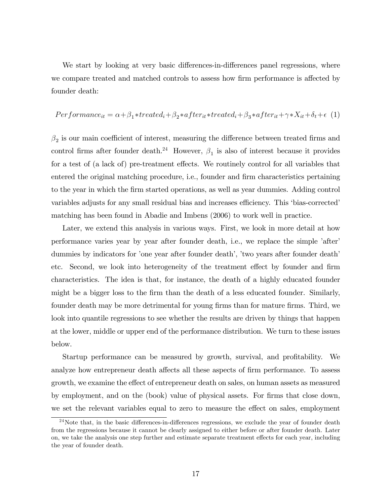We start by looking at very basic differences-in-differences panel regressions, where we compare treated and matched controls to assess how firm performance is affected by founder death:

$$
Performance_{it} = \alpha + \beta_1 * treated_i + \beta_2 * after_{it} * treated_i + \beta_3 * after_{it} + \gamma * X_{it} + \delta_t + \epsilon
$$
 (1)

 $\beta_2$  is our main coefficient of interest, measuring the difference between treated firms and control firms after founder death.<sup>24</sup> However,  $\beta_1$  is also of interest because it provides for a test of (a lack of) pre-treatment effects. We routinely control for all variables that entered the original matching procedure, i.e., founder and firm characteristics pertaining to the year in which the Örm started operations, as well as year dummies. Adding control variables adjusts for any small residual bias and increases efficiency. This 'bias-corrected' matching has been found in Abadie and Imbens (2006) to work well in practice.

Later, we extend this analysis in various ways. First, we look in more detail at how performance varies year by year after founder death, i.e., we replace the simple 'after' dummies by indicators for 'one year after founder death', 'two years after founder death' etc. Second, we look into heterogeneity of the treatment effect by founder and firm characteristics. The idea is that, for instance, the death of a highly educated founder might be a bigger loss to the firm than the death of a less educated founder. Similarly, founder death may be more detrimental for young firms than for mature firms. Third, we look into quantile regressions to see whether the results are driven by things that happen at the lower, middle or upper end of the performance distribution. We turn to these issues below.

Startup performance can be measured by growth, survival, and profitability. We analyze how entrepreneur death affects all these aspects of firm performance. To assess growth, we examine the effect of entrepreneur death on sales, on human assets as measured by employment, and on the (book) value of physical assets. For firms that close down, we set the relevant variables equal to zero to measure the effect on sales, employment

 $^{24}$ Note that, in the basic differences-in-differences regressions, we exclude the year of founder death from the regressions because it cannot be clearly assigned to either before or after founder death. Later on, we take the analysis one step further and estimate separate treatment effects for each year, including the year of founder death.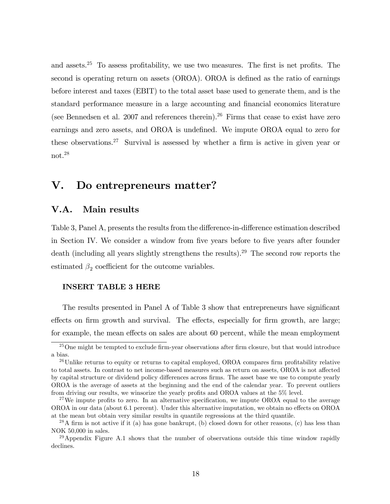and assets.<sup>25</sup> To assess profitability, we use two measures. The first is net profits. The second is operating return on assets (OROA). OROA is defined as the ratio of earnings before interest and taxes (EBIT) to the total asset base used to generate them, and is the standard performance measure in a large accounting and Önancial economics literature (see Bennedsen et al. 2007 and references therein).<sup>26</sup> Firms that cease to exist have zero earnings and zero assets, and OROA is undefined. We impute OROA equal to zero for these observations.<sup>27</sup> Survival is assessed by whether a firm is active in given year or not.<sup>28</sup>

### V. Do entrepreneurs matter?

#### V.A. Main results

Table 3, Panel A, presents the results from the difference-in-difference estimation described in Section IV. We consider a window from five years before to five years after founder death (including all years slightly strengthens the results).<sup>29</sup> The second row reports the estimated  $\beta_2$  coefficient for the outcome variables.

#### INSERT TABLE 3 HERE

The results presented in Panel A of Table 3 show that entrepreneurs have significant effects on firm growth and survival. The effects, especially for firm growth, are large; for example, the mean effects on sales are about 60 percent, while the mean employment

 $^{25}$ One might be tempted to exclude firm-year observations after firm closure, but that would introduce a bias.

 $^{26}$ Unlike returns to equity or returns to capital employed, OROA compares firm profitability relative to total assets. In contrast to net income-based measures such as return on assets, OROA is not affected by capital structure or dividend policy differences across firms. The asset base we use to compute yearly OROA is the average of assets at the beginning and the end of the calendar year. To prevent outliers from driving our results, we winsorize the yearly profits and OROA values at the  $5\%$  level.

<sup>&</sup>lt;sup>27</sup>We impute profits to zero. In an alternative specification, we impute OROA equal to the average OROA in our data (about 6.1 percent). Under this alternative imputation, we obtain no effects on OROA at the mean but obtain very similar results in quantile regressions at the third quantile.

<sup>&</sup>lt;sup>28</sup>A firm is not active if it (a) has gone bankrupt, (b) closed down for other reasons, (c) has less than NOK 50,000 in sales.

 $^{29}$ Appendix Figure A.1 shows that the number of observations outside this time window rapidly declines.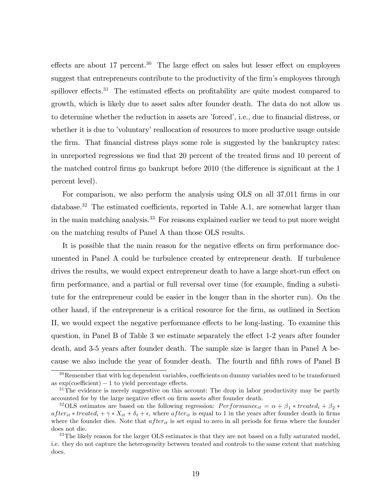effects are about 17 percent.<sup>30</sup> The large effect on sales but lesser effect on employees suggest that entrepreneurs contribute to the productivity of the firm's employees through spillover effects.<sup>31</sup> The estimated effects on profitability are quite modest compared to growth, which is likely due to asset sales after founder death. The data do not allow us to determine whether the reduction in assets are 'forced', i.e., due to financial distress, or whether it is due to 'voluntary' reallocation of resources to more productive usage outside the firm. That financial distress plays some role is suggested by the bankruptcy rates: in unreported regressions we find that 20 percent of the treated firms and 10 percent of the matched control firms go bankrupt before  $2010$  (the difference is significant at the 1 percent level).

For comparison, we also perform the analysis using OLS on all 37,011 firms in our database.<sup>32</sup> The estimated coefficients, reported in Table A.1, are somewhat larger than in the main matching analysis.<sup>33</sup> For reasons explained earlier we tend to put more weight on the matching results of Panel A than those OLS results.

It is possible that the main reason for the negative effects on firm performance documented in Panel A could be turbulence created by entrepreneur death. If turbulence drives the results, we would expect entrepreneur death to have a large short-run effect on firm performance, and a partial or full reversal over time (for example, finding a substitute for the entrepreneur could be easier in the longer than in the shorter run). On the other hand, if the entrepreneur is a critical resource for the Örm, as outlined in Section II, we would expect the negative performance effects to be long-lasting. To examine this question, in Panel B of Table 3 we estimate separately the effect 1-2 years after founder death, and 3-5 years after founder death. The sample size is larger than in Panel A because we also include the year of founder death. The fourth and fifth rows of Panel B

 $30$ Remember that with log dependent variables, coefficients on dummy variables need to be transformed as  $\exp(\text{coefficient}) - 1$  to yield percentage effects.

<sup>&</sup>lt;sup>31</sup>The evidence is merely suggestive on this account: The drop in labor productivity may be partly accounted for by the large negative effect on firm assets after founder death.

<sup>&</sup>lt;sup>32</sup>OLS estimates are based on the following regression:  $Performance_{it} = \alpha + \beta_1 * treated_i + \beta_2 *$  $after_{it} * treated_i + \gamma * X_{it} + \delta_t + \epsilon$ , where  $after_{it}$  is equal to 1 in the years after founder death in firms where the founder dies. Note that  $after_{it}$  is set equal to zero in all periods for firms where the founder does not die.

<sup>&</sup>lt;sup>33</sup>The likely reason for the larger OLS estimates is that they are not based on a fully saturated model, i.e. they do not capture the heterogeneity between treated and controls to the same extent that matching does.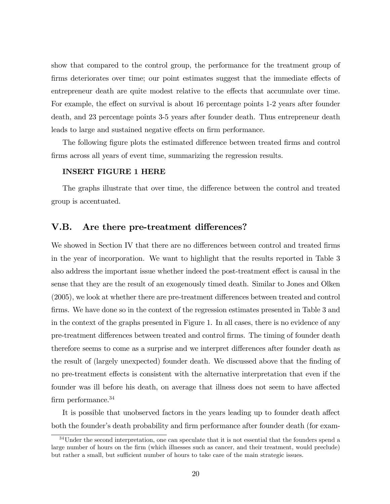show that compared to the control group, the performance for the treatment group of firms deteriorates over time; our point estimates suggest that the immediate effects of entrepreneur death are quite modest relative to the effects that accumulate over time. For example, the effect on survival is about 16 percentage points 1-2 years after founder death, and 23 percentage points 3-5 years after founder death. Thus entrepreneur death leads to large and sustained negative effects on firm performance.

The following figure plots the estimated difference between treated firms and control firms across all years of event time, summarizing the regression results.

#### INSERT FIGURE 1 HERE

The graphs illustrate that over time, the difference between the control and treated group is accentuated.

#### V.B. Are there pre-treatment differences?

We showed in Section IV that there are no differences between control and treated firms in the year of incorporation. We want to highlight that the results reported in Table 3 also address the important issue whether indeed the post-treatment effect is causal in the sense that they are the result of an exogenously timed death. Similar to Jones and Olken  $(2005)$ , we look at whether there are pre-treatment differences between treated and control firms. We have done so in the context of the regression estimates presented in Table 3 and in the context of the graphs presented in Figure 1. In all cases, there is no evidence of any pre-treatment differences between treated and control firms. The timing of founder death therefore seems to come as a surprise and we interpret differences after founder death as the result of (largely unexpected) founder death. We discussed above that the finding of no pre-treatment effects is consistent with the alternative interpretation that even if the founder was ill before his death, on average that illness does not seem to have affected firm performance.<sup>34</sup>

It is possible that unobserved factors in the years leading up to founder death affect both the founder's death probability and firm performance after founder death (for exam-

<sup>&</sup>lt;sup>34</sup>Under the second interpretation, one can speculate that it is not essential that the founders spend a large number of hours on the firm (which illnesses such as cancer, and their treatment, would preclude) but rather a small, but sufficient number of hours to take care of the main strategic issues.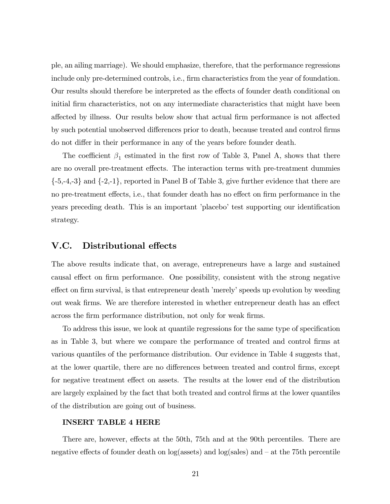ple, an ailing marriage). We should emphasize, therefore, that the performance regressions include only pre-determined controls, i.e., firm characteristics from the year of foundation. Our results should therefore be interpreted as the effects of founder death conditional on initial firm characteristics, not on any intermediate characteristics that might have been affected by illness. Our results below show that actual firm performance is not affected by such potential unobserved differences prior to death, because treated and control firms do not differ in their performance in any of the years before founder death.

The coefficient  $\beta_1$  estimated in the first row of Table 3, Panel A, shows that there are no overall pre-treatment effects. The interaction terms with pre-treatment dummies  $\{-5,-4,-3\}$  and  $\{-2,-1\}$ , reported in Panel B of Table 3, give further evidence that there are no pre-treatment effects, i.e., that founder death has no effect on firm performance in the years preceding death. This is an important 'placebo' test supporting our identification strategy.

#### V.C. Distributional effects

The above results indicate that, on average, entrepreneurs have a large and sustained causal effect on firm performance. One possibility, consistent with the strong negative effect on firm survival, is that entrepreneur death 'merely' speeds up evolution by weeding out weak firms. We are therefore interested in whether entrepreneur death has an effect across the firm performance distribution, not only for weak firms.

To address this issue, we look at quantile regressions for the same type of specification as in Table 3, but where we compare the performance of treated and control Örms at various quantiles of the performance distribution. Our evidence in Table 4 suggests that, at the lower quartile, there are no differences between treated and control firms, except for negative treatment effect on assets. The results at the lower end of the distribution are largely explained by the fact that both treated and control firms at the lower quantiles of the distribution are going out of business.

#### INSERT TABLE 4 HERE

There are, however, effects at the 50th, 75th and at the 90th percentiles. There are negative effects of founder death on  $log(\text{ assets})$  and  $log(\text{sales})$  and  $-$  at the 75th percentile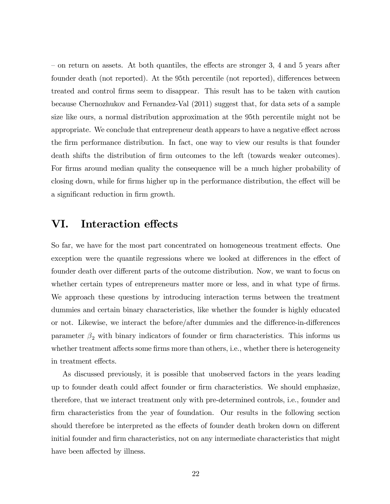$\sim$  on return on assets. At both quantiles, the effects are stronger 3, 4 and 5 years after founder death (not reported). At the 95th percentile (not reported), differences between treated and control Örms seem to disappear. This result has to be taken with caution because Chernozhukov and Fernandez-Val (2011) suggest that, for data sets of a sample size like ours, a normal distribution approximation at the 95th percentile might not be appropriate. We conclude that entrepreneur death appears to have a negative effect across the Örm performance distribution. In fact, one way to view our results is that founder death shifts the distribution of firm outcomes to the left (towards weaker outcomes). For firms around median quality the consequence will be a much higher probability of closing down, while for firms higher up in the performance distribution, the effect will be a significant reduction in firm growth.

### VI. Interaction effects

So far, we have for the most part concentrated on homogeneous treatment effects. One exception were the quantile regressions where we looked at differences in the effect of founder death over different parts of the outcome distribution. Now, we want to focus on whether certain types of entrepreneurs matter more or less, and in what type of firms. We approach these questions by introducing interaction terms between the treatment dummies and certain binary characteristics, like whether the founder is highly educated or not. Likewise, we interact the before/after dummies and the difference-in-differences parameter  $\beta_2$  with binary indicators of founder or firm characteristics. This informs us whether treatment affects some firms more than others, i.e., whether there is heterogeneity in treatment effects.

As discussed previously, it is possible that unobserved factors in the years leading up to founder death could affect founder or firm characteristics. We should emphasize, therefore, that we interact treatment only with pre-determined controls, i.e., founder and firm characteristics from the year of foundation. Our results in the following section should therefore be interpreted as the effects of founder death broken down on different initial founder and firm characteristics, not on any intermediate characteristics that might have been affected by illness.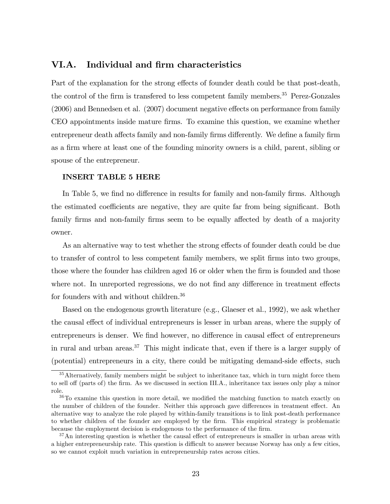#### VI.A. Individual and firm characteristics

Part of the explanation for the strong effects of founder death could be that post-death, the control of the firm is transfered to less competent family members.<sup>35</sup> Perez-Gonzales  $(2006)$  and Bennedsen et al.  $(2007)$  document negative effects on performance from family CEO appointments inside mature Örms. To examine this question, we examine whether entrepreneur death affects family and non-family firms differently. We define a family firm as a firm where at least one of the founding minority owners is a child, parent, sibling or spouse of the entrepreneur.

#### INSERT TABLE 5 HERE

In Table 5, we find no difference in results for family and non-family firms. Although the estimated coefficients are negative, they are quite far from being significant. Both family firms and non-family firms seem to be equally affected by death of a majority owner.

As an alternative way to test whether the strong effects of founder death could be due to transfer of control to less competent family members, we split firms into two groups, those where the founder has children aged 16 or older when the firm is founded and those where not. In unreported regressions, we do not find any difference in treatment effects for founders with and without children.<sup>36</sup>

Based on the endogenous growth literature (e.g., Glaeser et al., 1992), we ask whether the causal effect of individual entrepreneurs is lesser in urban areas, where the supply of entrepreneurs is denser. We find however, no difference in causal effect of entrepreneurs in rural and urban areas.<sup>37</sup> This might indicate that, even if there is a larger supply of (potential) entrepreneurs in a city, there could be mitigating demand-side effects, such

<sup>&</sup>lt;sup>35</sup> Alternatively, family members might be subject to inheritance tax, which in turn might force them to sell off (parts of) the firm. As we discussed in section III.A., inheritance tax issues only play a minor role.

 $36$ To examine this question in more detail, we modified the matching function to match exactly on the number of children of the founder. Neither this approach gave differences in treatment effect. An alternative way to analyze the role played by within-family transitions is to link post-death performance to whether children of the founder are employed by the Örm. This empirical strategy is problematic because the employment decision is endogenous to the performance of the Örm.

 $37\text{An interesting question is whether the causal effect of antrepreneurs is smaller in urban areas with}$ a higher entrepreneurship rate. This question is difficult to answer because Norway has only a few cities, so we cannot exploit much variation in entrepreneurship rates across cities.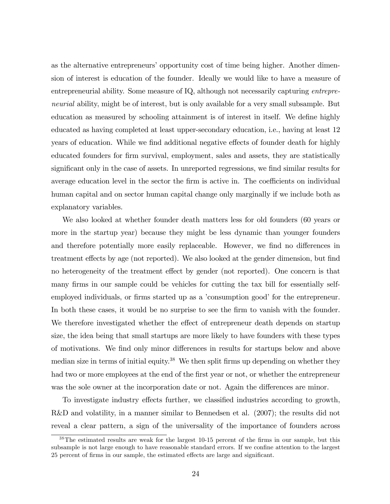as the alternative entrepreneurs' opportunity cost of time being higher. Another dimension of interest is education of the founder. Ideally we would like to have a measure of entrepreneurial ability. Some measure of IQ, although not necessarily capturing entrepreneurial ability, might be of interest, but is only available for a very small subsample. But education as measured by schooling attainment is of interest in itself. We define highly educated as having completed at least upper-secondary education, i.e., having at least 12 years of education. While we find additional negative effects of founder death for highly educated founders for firm survival, employment, sales and assets, they are statistically significant only in the case of assets. In unreported regressions, we find similar results for average education level in the sector the firm is active in. The coefficients on individual human capital and on sector human capital change only marginally if we include both as explanatory variables.

We also looked at whether founder death matters less for old founders (60 years or more in the startup year) because they might be less dynamic than younger founders and therefore potentially more easily replaceable. However, we find no differences in treatment effects by age (not reported). We also looked at the gender dimension, but find no heterogeneity of the treatment effect by gender (not reported). One concern is that many firms in our sample could be vehicles for cutting the tax bill for essentially selfemployed individuals, or firms started up as a 'consumption good' for the entrepreneur. In both these cases, it would be no surprise to see the firm to vanish with the founder. We therefore investigated whether the effect of entrepreneur death depends on startup size, the idea being that small startups are more likely to have founders with these types of motivations. We find only minor differences in results for startups below and above median size in terms of initial equity.<sup>38</sup> We then split firms up depending on whether they had two or more employees at the end of the first year or not, or whether the entrepreneur was the sole owner at the incorporation date or not. Again the differences are minor.

To investigate industry effects further, we classified industries according to growth, R&D and volatility, in a manner similar to Bennedsen et al. (2007); the results did not reveal a clear pattern, a sign of the universality of the importance of founders across

 $38$ The estimated results are weak for the largest 10-15 percent of the firms in our sample, but this subsample is not large enough to have reasonable standard errors. If we confine attention to the largest 25 percent of firms in our sample, the estimated effects are large and significant.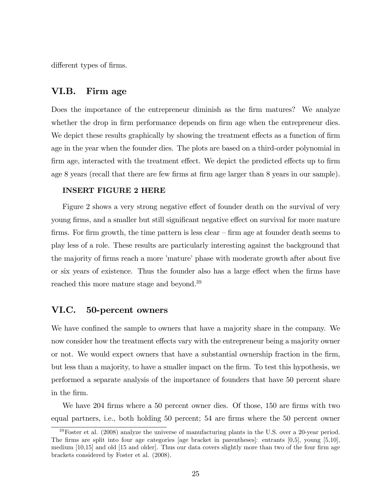different types of firms.

#### VI.B. Firm age

Does the importance of the entrepreneur diminish as the firm matures? We analyze whether the drop in firm performance depends on firm age when the entrepreneur dies. We depict these results graphically by showing the treatment effects as a function of firm age in the year when the founder dies. The plots are based on a third-order polynomial in firm age, interacted with the treatment effect. We depict the predicted effects up to firm age 8 years (recall that there are few firms at firm age larger than 8 years in our sample).

#### INSERT FIGURE 2 HERE

Figure 2 shows a very strong negative effect of founder death on the survival of very young firms, and a smaller but still significant negative effect on survival for more mature firms. For firm growth, the time pattern is less clear  $\overline{\phantom{a}}$  firm age at founder death seems to play less of a role. These results are particularly interesting against the background that the majority of firms reach a more 'mature' phase with moderate growth after about five or six years of existence. Thus the founder also has a large effect when the firms have reached this more mature stage and beyond.<sup>39</sup>

#### VI.C. 50-percent owners

We have confined the sample to owners that have a majority share in the company. We now consider how the treatment effects vary with the entrepreneur being a majority owner or not. We would expect owners that have a substantial ownership fraction in the Örm, but less than a majority, to have a smaller impact on the Örm. To test this hypothesis, we performed a separate analysis of the importance of founders that have 50 percent share in the Örm.

We have 204 firms where a 50 percent owner dies. Of those, 150 are firms with two equal partners, i.e., both holding 50 percent; 54 are firms where the 50 percent owner

 $39\text{Foster et al.}$  (2008) analyze the universe of manufacturing plants in the U.S. over a 20-year period. The firms are split into four age categories [age bracket in parentheses]: entrants  $[0,5]$ , young  $[5,10]$ , medium  $[10,15]$  and old  $[15$  and older. Thus our data covers slightly more than two of the four firm age brackets considered by Foster et al. (2008).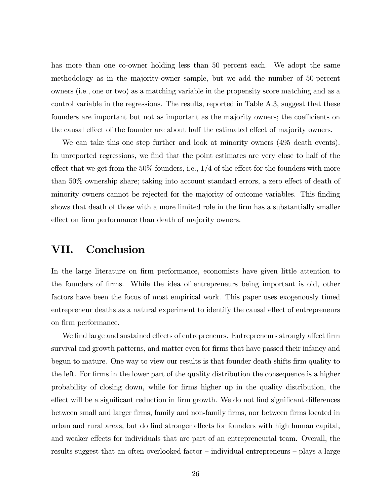has more than one co-owner holding less than 50 percent each. We adopt the same methodology as in the majority-owner sample, but we add the number of 50-percent owners (i.e., one or two) as a matching variable in the propensity score matching and as a control variable in the regressions. The results, reported in Table A.3, suggest that these founders are important but not as important as the majority owners; the coefficients on the causal effect of the founder are about half the estimated effect of majority owners.

We can take this one step further and look at minority owners (495 death events). In unreported regressions, we find that the point estimates are very close to half of the effect that we get from the  $50\%$  founders, i.e.,  $1/4$  of the effect for the founders with more than  $50\%$  ownership share; taking into account standard errors, a zero effect of death of minority owners cannot be rejected for the majority of outcome variables. This finding shows that death of those with a more limited role in the firm has a substantially smaller effect on firm performance than death of majority owners.

### VII. Conclusion

In the large literature on firm performance, economists have given little attention to the founders of Örms. While the idea of entrepreneurs being important is old, other factors have been the focus of most empirical work. This paper uses exogenously timed entrepreneur deaths as a natural experiment to identify the causal effect of entrepreneurs on Örm performance.

We find large and sustained effects of entrepreneurs. Entrepreneurs strongly affect firm survival and growth patterns, and matter even for firms that have passed their infancy and begun to mature. One way to view our results is that founder death shifts firm quality to the left. For firms in the lower part of the quality distribution the consequence is a higher probability of closing down, while for Örms higher up in the quality distribution, the effect will be a significant reduction in firm growth. We do not find significant differences between small and larger firms, family and non-family firms, nor between firms located in urban and rural areas, but do find stronger effects for founders with high human capital, and weaker effects for individuals that are part of an entrepreneurial team. Overall, the results suggest that an often overlooked factor  $\overline{\phantom{a}}$ -individual entrepreneurs  $\overline{\phantom{a}}$ -plays a large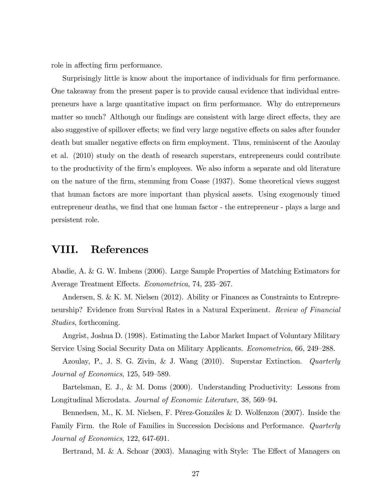role in affecting firm performance.

Surprisingly little is know about the importance of individuals for firm performance. One takeaway from the present paper is to provide causal evidence that individual entrepreneurs have a large quantitative impact on Örm performance. Why do entrepreneurs matter so much? Although our findings are consistent with large direct effects, they are also suggestive of spillover effects; we find very large negative effects on sales after founder death but smaller negative effects on firm employment. Thus, reminiscent of the Azoulay et al. (2010) study on the death of research superstars, entrepreneurs could contribute to the productivity of the firm's employees. We also inform a separate and old literature on the nature of the Örm, stemming from Coase (1937). Some theoretical views suggest that human factors are more important than physical assets. Using exogenously timed entrepreneur deaths, we find that one human factor - the entrepreneur - plays a large and persistent role.

### VIII. References

Abadie, A. & G. W. Imbens (2006). Large Sample Properties of Matching Estimators for Average Treatment Effects. Econometrica, 74, 235–267.

Andersen, S. & K. M. Nielsen (2012). Ability or Finances as Constraints to Entrepreneurship? Evidence from Survival Rates in a Natural Experiment. Review of Financial Studies, forthcoming.

Angrist, Joshua D. (1998). Estimating the Labor Market Impact of Voluntary Military Service Using Social Security Data on Military Applicants. *Econometrica*, 66, 249–288.

Azoulay, P., J. S. G. Zivin, & J. Wang (2010). Superstar Extinction. Quarterly Journal of Economics,  $125, 549-589$ .

Bartelsman, E. J., & M. Doms (2000). Understanding Productivity: Lessons from Longitudinal Microdata. Journal of Economic Literature, 38, 569–94.

Bennedsen, M., K. M. Nielsen, F. Pérez-Gonzáles & D. Wolfenzon  $(2007)$ . Inside the Family Firm. the Role of Families in Succession Decisions and Performance. Quarterly Journal of Economics, 122, 647-691.

Bertrand, M. & A. Schoar  $(2003)$ . Managing with Style: The Effect of Managers on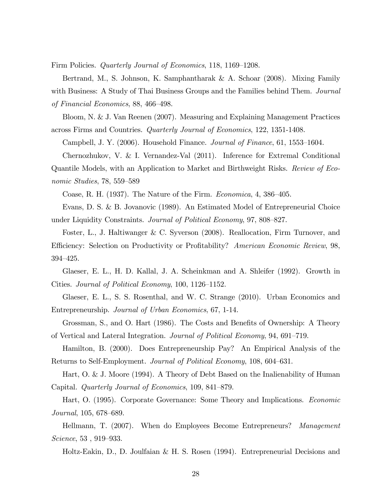Firm Policies. *Quarterly Journal of Economics*, 118, 1169–1208.

Bertrand, M., S. Johnson, K. Samphantharak & A. Schoar (2008). Mixing Family with Business: A Study of Thai Business Groups and the Families behind Them. Journal of Financial Economics,  $88,466-498$ .

Bloom, N. & J. Van Reenen (2007). Measuring and Explaining Management Practices across Firms and Countries. Quarterly Journal of Economics, 122, 1351-1408.

Campbell, J. Y. (2006). Household Finance. Journal of Finance, 61, 1553–1604.

Chernozhukov, V. & I. Vernandez-Val (2011). Inference for Extremal Conditional Quantile Models, with an Application to Market and Birthweight Risks. Review of Economic Studies,  $78, 559-589$ 

Coase, R. H. (1937). The Nature of the Firm. *Economica*,  $4, 386-405$ .

Evans, D. S. & B. Jovanovic (1989). An Estimated Model of Entrepreneurial Choice under Liquidity Constraints. Journal of Political Economy, 97, 808–827.

Foster, L., J. Haltiwanger & C. Syverson (2008). Reallocation, Firm Turnover, and Efficiency: Selection on Productivity or Profitability? American Economic Review, 98,  $394 - 425.$ 

Glaeser, E. L., H. D. Kallal, J. A. Scheinkman and A. Shleifer (1992). Growth in Cities. Journal of Political Economy,  $100$ ,  $1126-1152$ .

Glaeser, E. L., S. S. Rosenthal, and W. C. Strange (2010). Urban Economics and Entrepreneurship. Journal of Urban Economics, 67, 1-14.

Grossman, S., and O. Hart (1986). The Costs and Benefits of Ownership: A Theory of Vertical and Lateral Integration. Journal of Political Economy, 94, 691-719.

Hamilton, B. (2000). Does Entrepreneurship Pay? An Empirical Analysis of the Returns to Self-Employment. Journal of Political Economy, 108, 604–631.

Hart, O. & J. Moore (1994). A Theory of Debt Based on the Inalienability of Human Capital. *Quarterly Journal of Economics*, 109, 841–879.

Hart, O. (1995). Corporate Governance: Some Theory and Implications. Economic  $Journal, 105, 678–689.$ 

Hellmann, T. (2007). When do Employees Become Entrepreneurs? Management  $Science, 53, 919-933.$ 

Holtz-Eakin, D., D. Joulfaian & H. S. Rosen (1994). Entrepreneurial Decisions and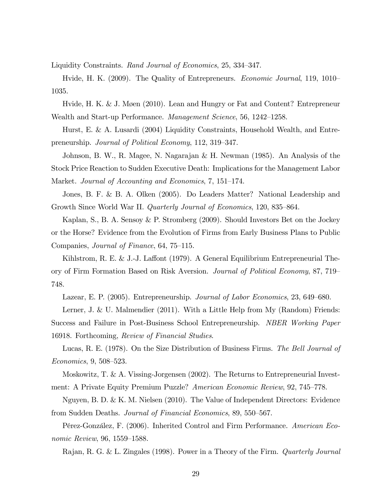Liquidity Constraints. Rand Journal of Economics, 25, 334-347.

Hvide, H. K. (2009). The Quality of Entrepreneurs. *Economic Journal*, 119, 1010– 1035.

Hvide, H. K. & J. Møen (2010). Lean and Hungry or Fat and Content? Entrepreneur Wealth and Start-up Performance. Management Science, 56, 1242–1258.

Hurst, E. & A. Lusardi (2004) Liquidity Constraints, Household Wealth, and Entrepreneurship. Journal of Political Economy, 112, 319–347.

Johnson, B. W., R. Magee, N. Nagarajan & H. Newman (1985). An Analysis of the Stock Price Reaction to Sudden Executive Death: Implications for the Management Labor Market. Journal of Accounting and Economics, 7, 151–174.

Jones, B. F. & B. A. Olken (2005). Do Leaders Matter? National Leadership and Growth Since World War II. *Quarterly Journal of Economics*, 120, 835–864.

Kaplan, S., B. A. Sensoy & P. Stromberg (2009). Should Investors Bet on the Jockey or the Horse? Evidence from the Evolution of Firms from Early Business Plans to Public Companies, *Journal of Finance*, 64, 75–115.

Kihlstrom, R. E. & J.-J. Laffont  $(1979)$ . A General Equilibrium Entrepreneurial Theory of Firm Formation Based on Risk Aversion. Journal of Political Economy, 87, 719 748.

Lazear, E. P. (2005). Entrepreneurship. Journal of Labor Economics, 23, 649–680.

Lerner, J. & U. Malmendier (2011). With a Little Help from My (Random) Friends: Success and Failure in Post-Business School Entrepreneurship. NBER Working Paper 16918. Forthcoming, Review of Financial Studies.

Lucas, R. E. (1978). On the Size Distribution of Business Firms. The Bell Journal of  $Economics, 9, 508–523.$ 

Moskowitz, T. & A. Vissing-Jorgensen (2002). The Returns to Entrepreneurial Investment: A Private Equity Premium Puzzle? American Economic Review, 92, 745–778.

Nguyen, B. D. & K. M. Nielsen (2010). The Value of Independent Directors: Evidence from Sudden Deaths. Journal of Financial Economics, 89, 550–567.

Pérez-González, F. (2006). Inherited Control and Firm Performance. American Economic Review,  $96, 1559 - 1588$ .

Rajan, R. G. & L. Zingales (1998). Power in a Theory of the Firm. Quarterly Journal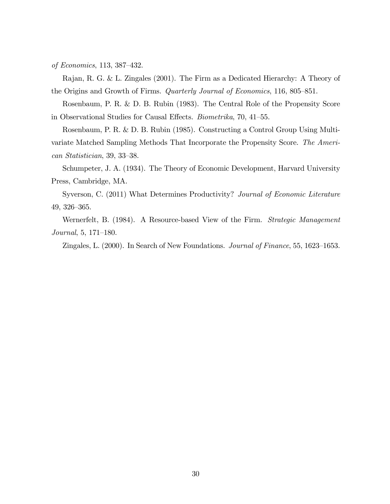of Economics, 113, 387–432.

Rajan, R. G. & L. Zingales (2001). The Firm as a Dedicated Hierarchy: A Theory of the Origins and Growth of Firms. Quarterly Journal of Economics, 116, 805–851.

Rosenbaum, P. R. & D. B. Rubin (1983). The Central Role of the Propensity Score in Observational Studies for Causal Effects. *Biometrika*, 70, 41–55.

Rosenbaum, P. R. & D. B. Rubin (1985). Constructing a Control Group Using Multivariate Matched Sampling Methods That Incorporate the Propensity Score. The Ameri $can$  Statistician, 39, 33–38.

Schumpeter, J. A. (1934). The Theory of Economic Development, Harvard University Press, Cambridge, MA.

Syverson, C. (2011) What Determines Productivity? Journal of Economic Literature  $49, 326 - 365.$ 

Wernerfelt, B. (1984). A Resource-based View of the Firm. Strategic Management  $Journal, 5, 171–180.$ 

Zingales, L.  $(2000)$ . In Search of New Foundations. *Journal of Finance*, 55, 1623–1653.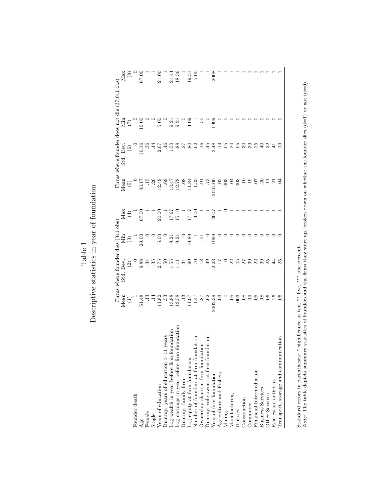|                                                                                                                                 |                                       | Firms where founder dies (341 obs)                                    |                                             |                                                             |                     | Firms where founder does not die (37,011 obs) |            |                                                                      |
|---------------------------------------------------------------------------------------------------------------------------------|---------------------------------------|-----------------------------------------------------------------------|---------------------------------------------|-------------------------------------------------------------|---------------------|-----------------------------------------------|------------|----------------------------------------------------------------------|
|                                                                                                                                 | Mean                                  | Std. Dev.                                                             | Min                                         | Max                                                         | Mean                | Std. Dev.                                     | Min        | Max                                                                  |
|                                                                                                                                 |                                       | $\widehat{\mathfrak{D}}$                                              | <u>(a)</u>                                  | 4                                                           | છે                  | $\widehat{\mathbf{e}}$                        | E          | $\circledast$                                                        |
| Founder death                                                                                                                   |                                       |                                                                       |                                             |                                                             |                     |                                               |            |                                                                      |
| Age                                                                                                                             | 51.48                                 | 9.88                                                                  | 20.00                                       | 67.00                                                       | 43.17               | 0.16                                          | 16.00      |                                                                      |
| Female                                                                                                                          | $13 \n14$                             |                                                                       |                                             |                                                             |                     | 36                                            |            |                                                                      |
| Single                                                                                                                          |                                       |                                                                       |                                             |                                                             | $\frac{15}{26}$     |                                               |            |                                                                      |
| Years of education                                                                                                              | 11.82                                 | $\frac{1}{2}$ $\frac{1}{2}$ $\frac{1}{2}$ $\frac{1}{2}$ $\frac{1}{2}$ | ⊃ ೦ ೦ ೦ ೧ ನ ನ<br>  ೧ ೦ ೧ ನ ನ<br>  ೧ ೧ ೧ ೧ ೧ | $\begin{array}{c} 1 \\ 20.00 \\ 17.67 \\ 15.10 \end{array}$ | 12.49               | 459858899                                     | 5.00       | $\begin{array}{c} 67.00 \\ 1 \\ 21.00 \\ 21.44 \\ 18.36 \end{array}$ |
| years<br>Dummy: years of education $>11$                                                                                        | 53                                    |                                                                       |                                             |                                                             | 69                  |                                               |            |                                                                      |
| $\rm Log$ wealth in year before firm foundation $\rm Log$ earnings in year before firm foundation                               | 13.88                                 | $\frac{55}{2}$                                                        |                                             |                                                             | 13.47               |                                               |            |                                                                      |
|                                                                                                                                 | 12.58                                 | Ξ                                                                     |                                             |                                                             | 12.78               |                                               | គ.គ<br>ខែម |                                                                      |
| $\begin{minipage}{.4\linewidth} \textbf{Dumn} \textbf{y: family firm} \\ \textbf{Log equity at firm foundation} \end{minipage}$ | $\frac{3}{2}$                         | ર્સ                                                                   |                                             |                                                             | $\frac{8}{3}$       |                                               |            |                                                                      |
|                                                                                                                                 | 10.17                                 | 66                                                                    | $\frac{68.01}{9}$                           | 17.17<br>71.71                                              | 11.84               |                                               | $^{4.09}$  | 19.31                                                                |
| dation<br>Number of founders at firm foundation<br>Ownership share at firm foundation                                           | 1.47                                  | S.                                                                    |                                             |                                                             | 1.33                |                                               |            | 5.00                                                                 |
|                                                                                                                                 | $.87$<br>$.62$<br>$.62$<br>$.2002.39$ | $18 \div 49$                                                          | $\frac{1}{2}$                               |                                                             | ಕ್ತ                 |                                               | ë          |                                                                      |
| Dummy: sole owner at firm foundation<br>Year of firm foundation                                                                 |                                       |                                                                       |                                             |                                                             | 52.                 | 45                                            |            |                                                                      |
|                                                                                                                                 |                                       | 2.23                                                                  | 1999                                        | 2007                                                        | 2004.00             | 2.48                                          | 1999       | 2008                                                                 |
| Agriculture and Fishery                                                                                                         | 03                                    | $\overline{\mathbb{L}}$                                               |                                             |                                                             | $\ddot{\mathrm{c}}$ | $\ddot{=}$                                    |            |                                                                      |
|                                                                                                                                 |                                       |                                                                       |                                             |                                                             | 003                 |                                               |            |                                                                      |
| Mining<br>Manufacturing                                                                                                         | 05                                    |                                                                       |                                             |                                                             | Ğ.                  | 5.85                                          |            |                                                                      |
| Utilities                                                                                                                       | 003                                   | $\frac{22}{5}$                                                        |                                             |                                                             | $\overline{0}$      |                                               |            |                                                                      |
| Construction                                                                                                                    | <b>80.</b>                            | $\overline{57}$                                                       |                                             |                                                             | $\Xi$               | $\ddot{3}$                                    |            |                                                                      |
| Commerce                                                                                                                        |                                       |                                                                       |                                             |                                                             |                     | 39                                            |            |                                                                      |
| Financial Intermediation                                                                                                        | 05                                    | ಇ ಇ ಇ                                                                 |                                             |                                                             | 50.                 | 25                                            |            |                                                                      |
| <b>Business Services</b>                                                                                                        | $\overline{.18}$                      |                                                                       |                                             |                                                             | 20                  | $\ddot{=}$                                    |            |                                                                      |
| Other Services                                                                                                                  |                                       | 25                                                                    |                                             |                                                             | 급                   | 32                                            |            |                                                                      |
| Real estate activities                                                                                                          | $rac{6}{26}$                          | $\ddot{4}$                                                            |                                             |                                                             | $\overline{21}$     | $\overline{41}$                               |            |                                                                      |
| cation<br>Transport, storage and communic                                                                                       |                                       |                                                                       |                                             |                                                             |                     | $\overline{.}$                                |            |                                                                      |
|                                                                                                                                 |                                       |                                                                       |                                             |                                                             |                     |                                               |            |                                                                      |

 ${\bf Table \ 1}$  Descriptive statistics in year of foundation Descriptive statistics in year of foundation

Standard errors in parentheses: \* significance at ten, \*\* five, \*\*\* one percent.<br>Note: The table depicts summary statistics of founders and the firms they start up, broken down on whether the founder dies (d=1) or not (d= Note: The table depicts summary statistics of founders and the firms they start up, broken down on whether the founder dies (d=1) or not (d=0).Standard errors in parentheses: ∗ significance at ten, ∗∗ five, ∗∗∗ one percent.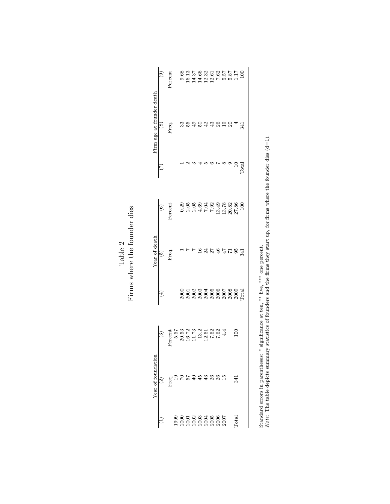|                           | $\widehat{e}$          | Percent |                                                                                                                                                                                                                                                                       |     |    |    |        |    | $0.68$ $0.1375$ $0.1375$ $0.0375$ $0.0375$ $0.0375$ $0.0375$ $0.0375$ $0.0375$ $0.0375$ $0.0375$ $0.0375$ $0.0375$ $0.0375$ |                 |          |              |                |
|---------------------------|------------------------|---------|-----------------------------------------------------------------------------------------------------------------------------------------------------------------------------------------------------------------------------------------------------------------------|-----|----|----|--------|----|-----------------------------------------------------------------------------------------------------------------------------|-----------------|----------|--------------|----------------|
| Firm age at founder death | $\circledast$          | Freq.   |                                                                                                                                                                                                                                                                       | РS. | ĢÞ | 5  | $42\,$ | 43 | 26                                                                                                                          | $\overline{19}$ | $\Omega$ |              | 341            |
|                           |                        |         |                                                                                                                                                                                                                                                                       |     |    |    |        |    |                                                                                                                             |                 |          |              | $_{\rm Total}$ |
|                           | $\widehat{6}$          | Percent |                                                                                                                                                                                                                                                                       |     |    |    |        |    |                                                                                                                             |                 |          |              | 100            |
| Year of death             | $\widetilde{\Theta}$   | Freq.   |                                                                                                                                                                                                                                                                       |     |    |    |        | 27 | 46                                                                                                                          |                 |          | వ్           | 341            |
|                           | $\overline{4}$         |         |                                                                                                                                                                                                                                                                       |     |    |    |        |    |                                                                                                                             |                 |          |              |                |
|                           | $\widehat{\mathbf{c}}$ | Percent | 5.57<br>20.52<br>20.52<br>5.3.2<br>5.02<br>7.62                                                                                                                                                                                                                       |     |    |    |        |    |                                                                                                                             | 4.4             |          |              |                |
| Year of foundation        | ତ୍ର                    | Freq.   |                                                                                                                                                                                                                                                                       |     |    | 45 | $43$   | 26 | 26                                                                                                                          | $\frac{15}{2}$  |          | 341          |                |
|                           |                        |         | $\begin{array}{l} 1999\\2\,000\\2\,001\\2\,003\\2\,003\\2\,004\\2\,005\\2\,006\\2\,000\\2\,000\\2\,000\\2\,000\\2\,000\\2\,000\\2\,000\\2\,000\\2\,000\\2\,000\\2\,000\\2\,000\\2\,000\\2\,000\\2\,000\\2\,000\\2\,000\\2\,000\\2\,000\\2\,000\\2\,000\\2\,000\\2\,0$ |     |    |    |        |    |                                                                                                                             |                 |          | <b>Total</b> |                |

|       | ۹<br>آ                         |
|-------|--------------------------------|
|       | tounder                        |
|       |                                |
| Table | $_{\rm the}$<br>$\overline{a}$ |
|       | where                          |
|       | nm                             |

Standard errors in parentheses:  $*$  significance at ten,  $**$  five,  $***$  one percent.<br>Note: The table depicts summary statistics of founders and the firms they start up, for firms where the founder dies (d=1). Note: The table depicts summary statistics of founders and the firms they start up, for firms where the founder dies (d=1).Standard errors in parentheses: ∗ significance at ten, ∗∗ five, ∗∗∗ one percent.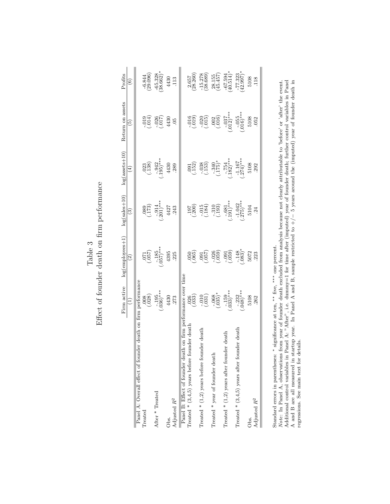|         | Eiffect of founder death on firm performance |
|---------|----------------------------------------------|
|         |                                              |
|         |                                              |
| Table 5 |                                              |
|         |                                              |
|         |                                              |
|         | न∰e∩.<br>''मि≏ा.                             |

|                                                              | Firm active                   | $log(employees+1)$            | $log(sales + 10)$                               | $log(assertst+10)$                | Return on assets                                               | Profits                      |
|--------------------------------------------------------------|-------------------------------|-------------------------------|-------------------------------------------------|-----------------------------------|----------------------------------------------------------------|------------------------------|
|                                                              | $\widehat{E}$                 | $\widehat{\mathfrak{D}}$      | $\widehat{\mathbb{C}}$                          | $\left( 4\right)$                 | $\widetilde{5}$                                                | $\widehat{\circ}$            |
| Panel A: Overall effect of founder death on firm performance |                               |                               |                                                 |                                   |                                                                |                              |
| Treated                                                      | (0.008)                       | $\binom{260}{120}$            | $\begin{pmatrix} 25 \\ -17 \\ -1 \end{pmatrix}$ | $\frac{023}{(138)}$               | (510)                                                          | $\frac{-6.844}{(29.096)}$    |
| After * Treated                                              | $-.195$<br>$(.036)***$        | $(057)^{***}$                 | $(-0.914)$ ***                                  | $-942$<br>$(-195)***$             | $-026$<br>(.017)                                               | $-65.328$<br>(38.662)*       |
| Obs.                                                         | 4430                          | 4395                          | 4427                                            | 4430                              | 4430                                                           | 4430                         |
| Adjusted $\mathbb{R}^2$                                      | 273                           | 225                           | 243                                             | 289                               | 05                                                             | 113                          |
| Panel B: Effect of founder death                             | on firm performance over time |                               |                                                 |                                   |                                                                |                              |
| Treated * $(3,4,5)$ years before founder death               | $\frac{026}{033}$             | $\frac{050}{065}$             | $\frac{197}{780}$                               | $\frac{1}{252}$                   | (610, 7)                                                       | (28.260)                     |
| Treated $*(1,2)$ years before founder death                  | (010)                         | (100, 00)                     | $-015$<br>$(184)$                               | $-038$<br>$(153)$                 | $\begin{array}{c} -020 \\ (-015) \\ 002 \\ (-016) \end{array}$ | (38.689)                     |
| Treated * year of founder death                              | $(-0.068)$                    | $-0.36$                       | (.193)                                          | $-340$<br>$(175)$ *               |                                                                | $\frac{28.155}{(45.457)}$    |
| Treated $*(1,2)$ years after founder death                   | $\frac{-.159}{(033)^{***}}$   | (650)                         | $^{-.681}_{-.191)***}$                          | $-754$<br>182)***                 | $-037$<br>$012$ <sup>***</sup>                                 | $(40.514)^*$                 |
| Treated * $(3,4,5)$ years after founder death                | $-0.232$<br>$(0.18)$ ***      | $-148$<br>$.083$ <sup>*</sup> | $-1.042$<br>$(275)***$                          | $-1.167$<br>$-274$ <sup>***</sup> | $-0.055$<br>$0.16$ )***                                        | $\frac{-77.323}{(42.997)^*}$ |
| Obs.                                                         | 5108                          | 5072                          | 5104                                            | 5108                              | 5108                                                           | 5108                         |
| Adjusted $R^2$                                               | 262                           | 223                           | $\ddot{c}$                                      | 292                               | 052                                                            | 118                          |
|                                                              |                               |                               |                                                 |                                   |                                                                |                              |

Standard errors in parentheses: \* significance at ten, \*\* five, \*\*\* one percent.<br>Note: In Panel A, observations from year of founder death excluded from analysis because not clearly attributable to 'before' or 'after' the Note: In Panel A, observations from year of founder death excluded from analysis because not clearly attributable to 'before' or 'after' the event. Additional control variables in Panel A: "After", i.e. dummy=1 for time after (imputed) year of founder death; further control variables in Panel A and B are all measured in startup year. In Panel A and B, sample restricted to +/− 5 years around the (imputed) year of founder death in regressions. See main text for details.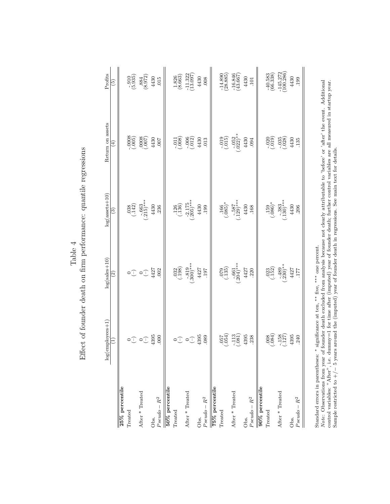|        | Effect of founder death on firm performance: quantile regressions |
|--------|-------------------------------------------------------------------|
| .<br>F |                                                                   |
|        |                                                                   |
|        |                                                                   |
|        |                                                                   |

|                   | employees+1)<br>log(                                                                          | $log(sales + 10)$      | $log(asserts+10)$                                              | Return on assets                                                                                                                                                                                                                                                                                                    | Profits                                        |
|-------------------|-----------------------------------------------------------------------------------------------|------------------------|----------------------------------------------------------------|---------------------------------------------------------------------------------------------------------------------------------------------------------------------------------------------------------------------------------------------------------------------------------------------------------------------|------------------------------------------------|
|                   | Ξ                                                                                             | $\widehat{c}$          | ව                                                              | $\widehat{\mathbb{E}}$                                                                                                                                                                                                                                                                                              | $\widetilde{\Xi})$                             |
| 25% percentile    |                                                                                               |                        |                                                                |                                                                                                                                                                                                                                                                                                                     |                                                |
| Treated           |                                                                                               |                        | $\binom{6}{142}$                                               |                                                                                                                                                                                                                                                                                                                     | (5.935)                                        |
| After * Treated   | $\circ \mathbb{T} \circ \mathbb{T}$                                                           |                        | $(-.663)$<br>$(+.215)$ **                                      | $\begin{array}{c} 2000 \\[-4pt] 0.000 \\[-4pt] 0.000 \\[-4pt] 0.000 \\[-4pt] 0.000 \\[-4pt] 0.000 \\[-4pt] 0.000 \\[-4pt] 0.000 \\[-4pt] 0.000 \\[-4pt] 0.000 \\[-4pt] 0.000 \\[-4pt] 0.000 \\[-4pt] 0.000 \\[-4pt] 0.000 \\[-4pt] 0.000 \\[-4pt] 0.000 \\[-4pt] 0.000 \\[-4pt] 0.000 \\[-4pt] 0.000 \\[-4pt] 0.00$ | $\begin{array}{c} .884 \\ (8.972) \end{array}$ |
| Obs.              | 4395                                                                                          |                        | 4430                                                           |                                                                                                                                                                                                                                                                                                                     | $4430$<br>$015$                                |
| $Pseudo-R^2$      | 000                                                                                           |                        | .236                                                           |                                                                                                                                                                                                                                                                                                                     |                                                |
| 50% percentile    |                                                                                               |                        |                                                                |                                                                                                                                                                                                                                                                                                                     |                                                |
| Treated           |                                                                                               | $\frac{032}{(198)}$    |                                                                |                                                                                                                                                                                                                                                                                                                     | $\frac{1.826}{(8.663)}$                        |
| After * Treated   | $\circ \mathbb{T} \circ \mathbb{T}$                                                           | $(1.819)$<br>***(008.) | $(1.136)$<br>$(-1.36)$<br>$(-2.175)$<br>$(-205)$ ***           | $-0.008$<br>$-0.006$<br>$-0.005$<br>$+430$<br>$+430$<br>$+13$                                                                                                                                                                                                                                                       | $\frac{-11.322}{(13.097)}$                     |
| Obs.              | 4395<br>089                                                                                   | $4427 \atop 197$       | 4430                                                           |                                                                                                                                                                                                                                                                                                                     |                                                |
| $Pseudo-R^2$      |                                                                                               |                        | .199                                                           |                                                                                                                                                                                                                                                                                                                     | $\frac{4430}{008}$                             |
| $75\%$ percentile |                                                                                               |                        |                                                                |                                                                                                                                                                                                                                                                                                                     |                                                |
| Treated           |                                                                                               | $\binom{6}{135}$       | $^{+0.66}_{-0.085)}$                                           | (10.015)                                                                                                                                                                                                                                                                                                            | (28.885)                                       |
| After * Treated   | (0.001)                                                                                       | $-661$<br>$(-204)$ *** | $\begin{array}{c}\n -.587 \\  \cdot 129\n \end{array}$<br>+430 | $-052$<br>$(.022)$ **                                                                                                                                                                                                                                                                                               | $\frac{16.846}{(43.667)}$                      |
| Obs.              |                                                                                               |                        |                                                                | 4430                                                                                                                                                                                                                                                                                                                | 4430                                           |
| $Pseudo-R^2$      | $4395$<br>$.238$                                                                              | $4427$<br>.220         | .168                                                           | .094                                                                                                                                                                                                                                                                                                                | 101                                            |
| 90% percentile    |                                                                                               |                        |                                                                |                                                                                                                                                                                                                                                                                                                     |                                                |
| Treated           |                                                                                               | $\frac{023}{(152)}$    | $^{*}(980)$                                                    |                                                                                                                                                                                                                                                                                                                     | $-40.583$<br>(66.338)                          |
| After * Treated   | $\begin{array}{c} 008 \\[-4pt] 0.084) \\[-4pt] -158 \\[-4pt] -158 \\[-4pt] -127) \end{array}$ | $(-.489)$ **           | $(-383$<br>$(130)$ **                                          | $\begin{pmatrix} 200 \\ -019 \\ -035 \\ -028 \end{pmatrix}$                                                                                                                                                                                                                                                         | $-145.272$<br>(100.286)                        |
| Obs.              | $4395$<br>$.240$                                                                              | $\frac{4427}{177}$     | 4430                                                           | $4430$<br>$.135$                                                                                                                                                                                                                                                                                                    | 4430                                           |
| $Pseudo - R^2$    |                                                                                               |                        | <b>206</b>                                                     |                                                                                                                                                                                                                                                                                                                     | .199                                           |
|                   |                                                                                               |                        |                                                                |                                                                                                                                                                                                                                                                                                                     |                                                |

Standard errors in parentheses: \* significance at ten, \*\* five, \*\*\* one percent.<br>Note: Observations from year of founder death excluded from analysis because not clearly attributable to 'before' or 'after' the event. Addi Note: Observations from year of founder death excluded from analysis because not clearly attributable to 'before' or 'after' the event. Additional control variables: "After", i.e. dummy=1 for time after (imputed) year of founder death; further control variables are all measured in startup year. Sample restricted to +/− 5 years around the (imputed) year of founder death in regressions. See main text for details.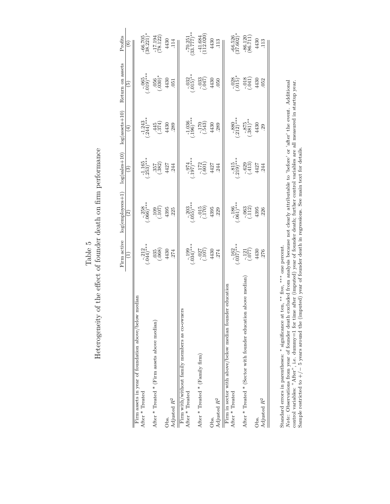${\bf Table ~5}$  <br> Heterogeneity of the effect of founder death on firm performance Heterogeneity of the effect of founder death on firm performance

|                                                                  | Firm active            | $log(employees+1$           | $log(sales+10)$                                          | $log($ assets $+10)$           | Return on assets                                      | Profits                    |
|------------------------------------------------------------------|------------------------|-----------------------------|----------------------------------------------------------|--------------------------------|-------------------------------------------------------|----------------------------|
|                                                                  | $\bigoplus$            | $\widehat{\mathfrak{D}}$    | $\mathbf{G}$                                             | $\bigoplus$                    | $\widehat{5}$                                         | $\widehat{\circ}$          |
| median<br>Firm assets in year of foundation above/below          |                        |                             |                                                          |                                |                                                       |                            |
| After * Treated                                                  | $-212$<br>$(-044)$ *** | $-258$<br>(.066)***         | $\frac{-1.165}{(.253)^{***}}$                            | $\frac{-1.243}{(.244)^***}$    | $(.019)$ ***                                          | $-66.705$<br>(38.221)*     |
| After $*$ Treated $*$ (Firm assets above median)                 | (0.068)                | (1001)                      | $\begin{array}{c} 357 \\ 382 \\ 4427 \\ 444 \end{array}$ | (374)                          | $.056$<br>$(.030)$ *                                  | $\frac{-17.194}{(78.122)}$ |
| Obs.                                                             |                        | 4395                        |                                                          | 4430                           | 4430                                                  | 4430                       |
| Adjusted $R^2$                                                   | $4430$<br>$.274$       | 225                         |                                                          | 289                            | .051                                                  | .114                       |
| Firm with/without family members as co-owners                    |                        |                             |                                                          |                                |                                                       |                            |
| After * Treated                                                  | $-199$<br>$(.034)$ *** | $-.203$<br>(.055)***        | $* * (761)$                                              | $\frac{-1.036}{196}$           | $(-015)$ **                                           | $-70.251$<br>(33.777)**    |
| After * Treated * (Family firm)                                  | (107)                  | $\frac{135}{(170)}$<br>4395 | $\frac{172}{(001)}$ 4427<br>4427                         | (543)                          | $\begin{array}{c} -033 \\ (-047) \\ 4430 \end{array}$ | $\frac{-41.684}{112.020}$  |
| Obs.                                                             | $\frac{4430}{274}$     |                             |                                                          | 4430                           |                                                       | 4430                       |
| Adjusted $R^2$                                                   |                        | 229                         |                                                          | 289                            | 050                                                   | 113                        |
| er education<br>Firm in sector with above/below median found     |                        |                             |                                                          |                                |                                                       |                            |
| After * Treated                                                  | $-162$<br>(.037)***    | $(.061)$ ***                | $\frac{-.815}{-.219}$ ***                                | $-880$<br>$(.212)***$          |                                                       | $-66.526$<br>(37.602)*     |
| above median<br>After * Treated * (Sector with founder education | $\frac{-121}{(077)}$   | $-063$<br>$(.112)$          | $-629$<br>$(413)$<br>$4427$                              | $-875$<br>$-381$ <sup>**</sup> | $-0.38$<br>$-0.15$<br>$-0.15$<br>$-0.430$<br>$+430$   | $-86.120$<br>(86.711)      |
| Obs.                                                             | 4430                   | 4395                        |                                                          | 4430                           |                                                       | 4430                       |
| Adjusted $R^2$                                                   | 276                    | 226                         | .244                                                     | .29                            | 052                                                   | 113                        |
|                                                                  |                        |                             |                                                          |                                |                                                       |                            |

Standard errors in parentheses:  $*$  significance at ten,  $**$  five,  $***$  one percent.<br>Note: Observations from year of founder death excluded from analysis because not clearly attributable to 'before' or 'after' the event. A Note: Observations from year of founder death excluded from analysis because not clearly attributable to 'before' or 'after' the event. Additional control variables: "After", i.e. dummy=1 for time after (imputed) year of founder death; further control variables are all measured in startup year. Sample restricted to +/− 5 years around the (imputed) year of founder death in regressions. See main text for details.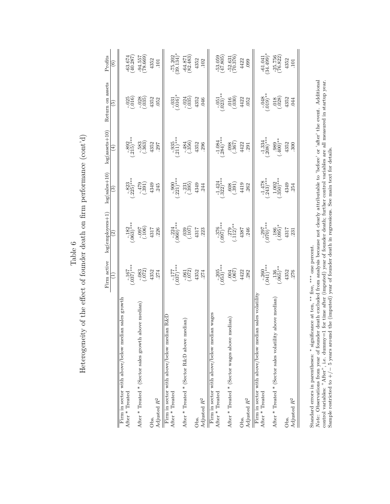|             | へきん                                                                                                                                             |
|-------------|-------------------------------------------------------------------------------------------------------------------------------------------------|
|             | poity of the officet of foundar dorf h on firm portormanan lov<br>)<br> <br> <br>֖֖֖֧ׅ֧֧֧ׅ֧֧֧֧֧֧֧֧֧֧֧֧֧֧֧֧֧֚֚֚֚֚֚֚֚֚֚֚֚֚֚֚֚֡֜֓֓֝֓֝֬֓֓֓֓֓֓֓֓֓֓֓֓ |
|             |                                                                                                                                                 |
|             |                                                                                                                                                 |
| ¢           | THE THE TEAMONT                                                                                                                                 |
| j<br>-<br>E | intrintion is                                                                                                                                   |
|             |                                                                                                                                                 |
|             |                                                                                                                                                 |
|             | Adma hin ha                                                                                                                                     |
|             |                                                                                                                                                 |
|             |                                                                                                                                                 |
|             | Ĩ.<br>$\frac{1}{2}$<br> <br> <br> <br> <br>$\mathbf{H}_{\alpha^{\star} \alpha^{\star} \alpha}$                                                  |
|             | )<br> <br>                                                                                                                                      |

|                                                                            | Firm active<br>Ξ             | $log(employees+1)$<br>$\widehat{\mathbb{E}}$ | $log(sales + 10)$<br>$\widehat{\mathbf{e}}$ | $log(assertst+10)$<br>$\left( 4\right)$ | Return on assets<br>$\widetilde{\mathbb{E}}$ | Profits<br>$\widehat{\circ}$ |
|----------------------------------------------------------------------------|------------------------------|----------------------------------------------|---------------------------------------------|-----------------------------------------|----------------------------------------------|------------------------------|
| sales growth<br>Firm in sector with above/below median<br>After * Treated  | $(0.37)$ ***                 | $-182$<br>$(063)$ ***                        | $-823$<br>$(.225)***$                       | $-892$<br>$(215)***$                    | (316)                                        | (40.287)                     |
| ove median)<br>After * Treated * (Sector sales growth ab                   | (0.083)                      | $\frac{(901)}{260}$                          | (165)                                       | $-583$<br>$(363)$                       | $-028$<br>$(.035)$                           | (699.87)                     |
| Adjusted $\mathbb{R}^2$<br>Obs.                                            | 4352<br>.274                 | 4317<br>226                                  | 4349<br>245                                 | 4352<br>297                             | 4352<br>.052                                 | 4352<br>$\overline{101}$     |
| Firm in sector with above/below median R&D<br>After * Treated              | $(0.37)$ ***                 | $-224$<br>$(060)$ ***                        | $(-.900$<br>$(.221)***$                     | $(.211)$ ***                            | $\frac{-031}{016}$                           | $\frac{-75.202}{(39.134)^*}$ |
| dian)<br>After * Treated * (Sector R&D above me                            | (0.061)                      | (107)                                        | (395)                                       | $-484$<br>$(356)$                       | $-024$<br>$(.035)$                           | $\frac{-64.871}{(82.483)}$   |
| Adjusted $R^2$<br>Obs.                                                     | 4352<br>.274                 | 4317<br>.223                                 | 4349<br>244                                 | 4352<br>296                             | 4352<br>.046                                 | 4352<br>102                  |
| Firm in sector with above/below median wages<br>After * Treated            | $\frac{-.205}{(.053)^{***}}$ | $\frac{-376}{(097)^***}$                     | $\frac{-1.424}{(.322)^{***}}$               | $\frac{-1.084}{(.284)^{***}}$           | $(-051$<br>$(-023)$ **                       | $\frac{53.059}{(47.805)}$    |
| After * Treated * (Sector wages above median)                              | $-0.007$                     | $\frac{279}{112}$                            | $\binom{608}{391}$                          | $\frac{1367}{860}$                      | (0.60)                                       | $\frac{-52.631}{(70.376)}$   |
| Adjusted $R^2$<br>Obs.                                                     | 4422<br>282                  | 4387<br>246                                  | 4419<br>262                                 | 4422<br>291                             | 4422<br>.052                                 | 4422<br>099                  |
| Firm in sector with above/below median sales volatility<br>After * Treated | $-260$<br>$(.041)***$        | $\frac{-.297}{.070}$                         | $\frac{-1.478}{(243)^***}$                  | $\frac{-1.334}{208}$                    | $^{*}(610)$ .                                | $\frac{-61.041}{(34.499)^*}$ |
| above median<br>After * Treated * (Sector sales volatility                 | $^{136}_{(065)*}$            | $\frac{186}{095}$                            | $\left(\frac{1.002}{350}\right)$ ***        | $^{*400}_{(900)}$                       | (0.028)                                      | $-25.756$<br>$(76.822)$      |
| Adjusted $R^2$<br>Obs.                                                     | 4352<br>276                  | 4317<br>.231                                 | 4349<br>254                                 | 4352<br>$\frac{300}{2}$                 | 4352<br>044                                  | 4352<br>$\Xi$                |
|                                                                            |                              |                                              |                                             |                                         |                                              |                              |

Standard errors in parentheses:  $*$  significance at ten,  $**$  five,  $***$  one percent.<br>Note: Observations from year of founder death excluded from analysis because not clearly attributable to 'before' or 'after' the event. A Note: Observations from year of founder death excluded from analysis because not clearly attributable to 'before' or 'after' the event. Additional control variables: "After", i.e. dummy=1 for time after (imputed) year of founder death; further control variables are all measured in startup year. Sample restricted to +/− 5 years around the (imputed) year of founder death in regressions. See main text for details.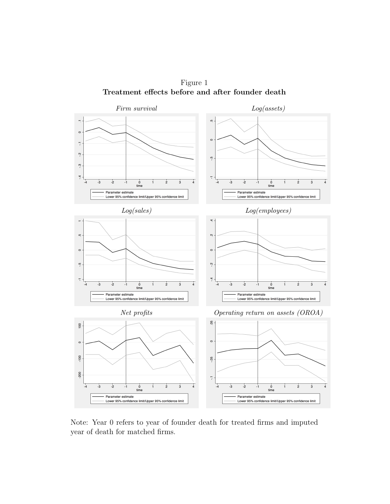

Figure 1 Treatment effects before and after founder death

Note: Year 0 refers to year of founder death for treated firms and imputed year of death for matched firms.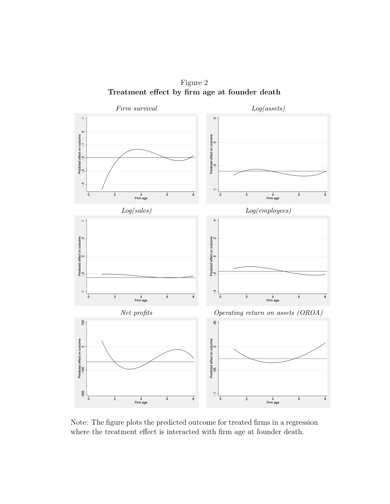Figure 2 Treatment effect by firm age at founder death



Note: The figure plots the predicted outcome for treated firms in a regression where the treatment effect is interacted with firm age at founder death.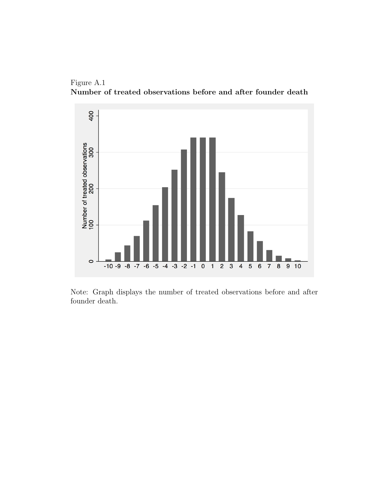



Note: Graph displays the number of treated observations before and after founder death.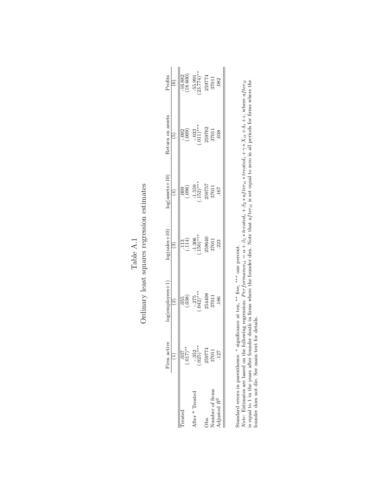|                                   | Firm active              | $o$ g(employees $+1$          | $log(sales + 10)$      | $log($ assets $+10$ ,  | Return on assets             | Profits                                                                                                                          |
|-----------------------------------|--------------------------|-------------------------------|------------------------|------------------------|------------------------------|----------------------------------------------------------------------------------------------------------------------------------|
|                                   |                          | Î,                            |                        |                        |                              |                                                                                                                                  |
| reated                            | $^{*}$ (210.)            | $\left(\frac{65}{103}\right)$ | $\binom{113}{114}$     | ခ်မို့                 | $\frac{135}{100}$            |                                                                                                                                  |
| After * Treated                   | ***<br>$-352$<br>$(025)$ | $-275$<br>.042)***            | $-1.306$<br>$(150)***$ | $-1.559$<br>$(152)***$ | $\frac{-033}{011}$<br>259762 | $\frac{16.882}{(18.600)}$<br>$\frac{15.991}{(23.774)^{**}}$<br>$\frac{25.774}{(23.774)^{**}}$<br>$\frac{25.9774}{(23.774)^{**}}$ |
| $\frac{1}{2}$                     | 259774                   | 254408                        | 259640                 | 259757                 |                              |                                                                                                                                  |
| Number of firms<br>Adjusted $R^2$ | 37011                    | 37011                         | 37011                  | 37011                  | 37011                        |                                                                                                                                  |
|                                   | .127                     | 186                           | 223                    | 167                    | .038                         |                                                                                                                                  |
|                                   |                          |                               |                        |                        |                              |                                                                                                                                  |

 ${\bf Table\ A.1}$  Ordinary least squares regression estimates Ordinary least squares regression estimates

Standard errors in parentheses: ∗ significance at ten, ∗∗ five, ∗∗∗ one percent.

Standard errors in parentheses: \* significance at ten, \*\* five, \*\*\* one percent.<br>Note: Estimates are based on the following regression: Performance<sub>ti</sub> =  $\alpha + \beta_1$  \* treated<sub>i</sub> +  $\beta_2$  \* after<sub>it</sub> \* treated<sub>i</sub> +  $\gamma$  \* Note: Estimates are based on the following regression: Performance<sub>it</sub> =  $\alpha + \beta_1 * t$ reated<sub>i</sub> +  $\beta_2 * a f t$ reated<sub>i</sub> +  $\gamma * X_{it} + \delta_t + \epsilon$ , where a fter<sub>it</sub>  $\alpha$  +  $\alpha$  +  $\alpha$  +  $\alpha$  +  $\alpha$  +  $\alpha$  +  $\alpha$  +  $\alpha$  +  $\alpha$  +  $\alpha$  is equal to 1 in the years after founder death in firms where the founder dies. Note that  $after_{it}$  is set equal to zero in all periods for firms where the founder does not die. See main text for details.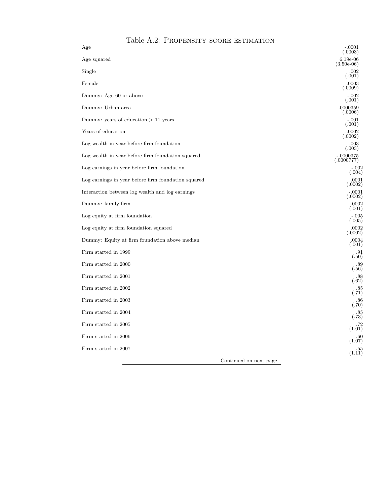#### Table A.2: Propensity score estimation

| Age                                                 | $-.0001$<br>(.0003)        |
|-----------------------------------------------------|----------------------------|
| Age squared                                         | $6.19e-06$<br>$(3.50e-06)$ |
| Single                                              | .002<br>(.001)             |
| Female                                              | $-.0003$<br>(.0009)        |
| Dummy: Age 60 or above                              | $-.002$<br>(.001)          |
| Dummy: Urban area                                   | .0000359<br>(.0006)        |
| Dummy: years of education $> 11$ years              | -.001<br>(.001)            |
| Years of education                                  | 0.0002<br>(.0002)          |
| Log wealth in year before firm foundation           | .003<br>(.003)             |
| Log wealth in year before firm foundation squared   | $-.0000375$<br>(.0000777)  |
| Log earnings in year before firm foundation         | -.002<br>(.004)            |
| Log earnings in year before firm foundation squared | .0001<br>(.0002)           |
| Interaction between log wealth and log earnings     | -.0001<br>(.0002)          |
| Dummy: family firm                                  | .0002<br>(.001)            |
| Log equity at firm foundation                       | -.005<br>(.005)            |
| Log equity at firm foundation squared               | .0002<br>(.0002)           |
| Dummy: Equity at firm foundation above median       | .0004<br>(.001)            |
| Firm started in 1999                                | .91<br>(.50)               |
| Firm started in 2000                                | .89<br>(.56)               |
| Firm started in 2001                                | .88<br>(.62)               |
| Firm started in 2002                                | .85<br>(.71)               |
| Firm started in 2003                                | .86<br>(.70)               |
| Firm started in 2004                                | .85<br>(.73)               |
| Firm started in 2005                                | .72<br>(1.01)              |
| Firm started in 2006                                | .60<br>(1.07)              |
| Firm started in 2007                                | .55<br>(1.11)              |
| Continued on next page                              |                            |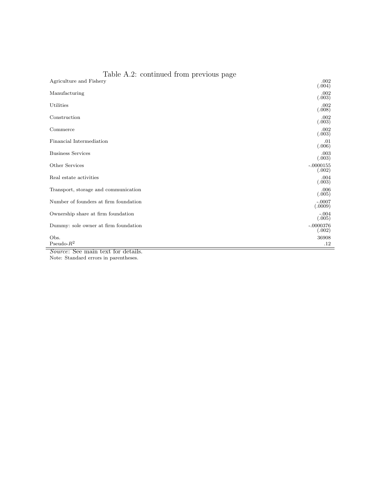| Table A.2: continued from previous page |                       |
|-----------------------------------------|-----------------------|
| Agriculture and Fishery                 | .002<br>(.004)        |
| Manufacturing                           | .002<br>(.003)        |
| Utilities                               | .002<br>(.008)        |
| Construction                            | .002<br>(.003)        |
| Commerce                                | .002<br>(.003)        |
| Financial Intermediation                | .01<br>(.006)         |
| <b>Business Services</b>                | .003<br>(.003)        |
| Other Services                          | $-.0000155$<br>(.002) |
| Real estate activities                  | .004<br>(.003)        |
| Transport, storage and communication    | .006<br>(.005)        |
| Number of founders at firm foundation   | $-.0007$<br>(.0009)   |
| Ownership share at firm foundation      | $-.004$<br>(.005)     |
| Dummy: sole owner at firm foundation    | $-.0000376$<br>(.002) |
| Obs.<br>Pseudo- $\mathbb{R}^2$<br>᠇᠇    | 36908<br>.12          |

Source: See main text for details. Note: Standard errors in parentheses.